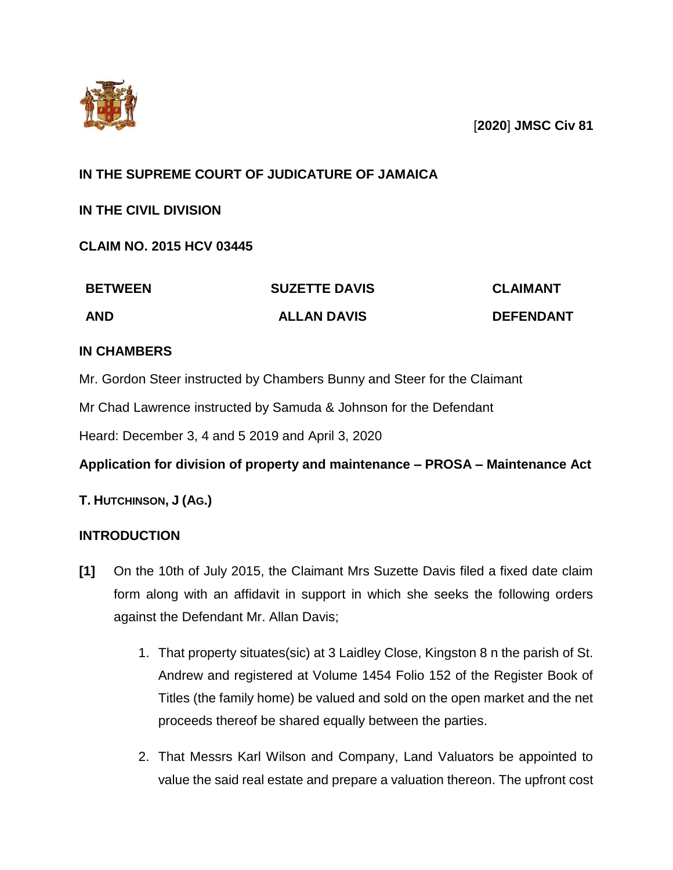

[**2020**] **JMSC Civ 81**

# **IN THE SUPREME COURT OF JUDICATURE OF JAMAICA**

**IN THE CIVIL DIVISION**

**CLAIM NO. 2015 HCV 03445**

| <b>BETWEEN</b> | <b>SUZETTE DAVIS</b> | <b>CLAIMANT</b>  |
|----------------|----------------------|------------------|
| <b>AND</b>     | <b>ALLAN DAVIS</b>   | <b>DEFENDANT</b> |

# **IN CHAMBERS**

Mr. Gordon Steer instructed by Chambers Bunny and Steer for the Claimant

Mr Chad Lawrence instructed by Samuda & Johnson for the Defendant

Heard: December 3, 4 and 5 2019 and April 3, 2020

**Application for division of property and maintenance – PROSA – Maintenance Act**

# **T. HUTCHINSON, J (AG.)**

## **INTRODUCTION**

- **[1]** On the 10th of July 2015, the Claimant Mrs Suzette Davis filed a fixed date claim form along with an affidavit in support in which she seeks the following orders against the Defendant Mr. Allan Davis;
	- 1. That property situates(sic) at 3 Laidley Close, Kingston 8 n the parish of St. Andrew and registered at Volume 1454 Folio 152 of the Register Book of Titles (the family home) be valued and sold on the open market and the net proceeds thereof be shared equally between the parties.
	- 2. That Messrs Karl Wilson and Company, Land Valuators be appointed to value the said real estate and prepare a valuation thereon. The upfront cost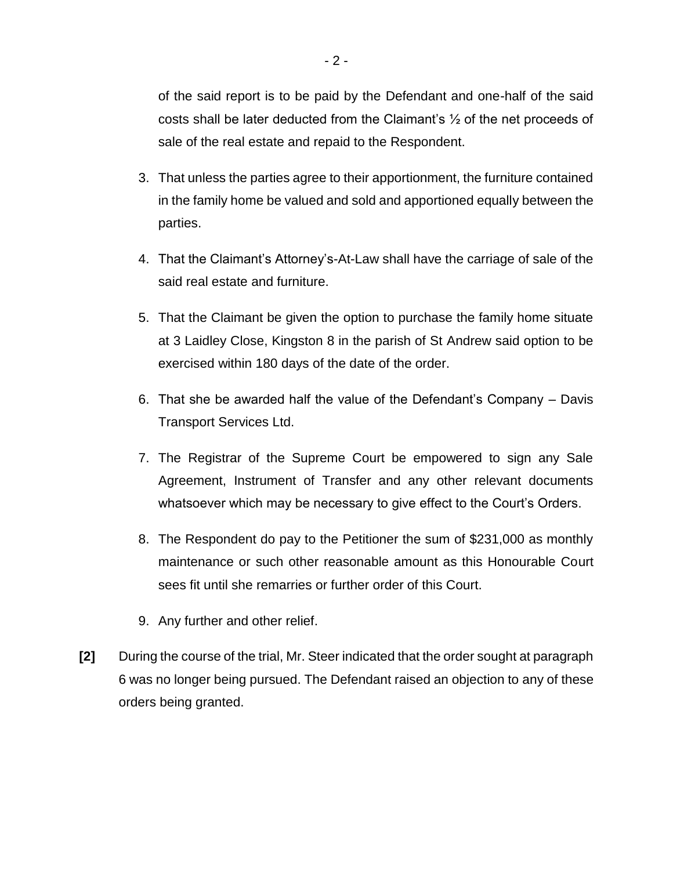of the said report is to be paid by the Defendant and one-half of the said costs shall be later deducted from the Claimant's  $\frac{1}{2}$  of the net proceeds of sale of the real estate and repaid to the Respondent.

- 3. That unless the parties agree to their apportionment, the furniture contained in the family home be valued and sold and apportioned equally between the parties.
- 4. That the Claimant's Attorney's-At-Law shall have the carriage of sale of the said real estate and furniture.
- 5. That the Claimant be given the option to purchase the family home situate at 3 Laidley Close, Kingston 8 in the parish of St Andrew said option to be exercised within 180 days of the date of the order.
- 6. That she be awarded half the value of the Defendant's Company Davis Transport Services Ltd.
- 7. The Registrar of the Supreme Court be empowered to sign any Sale Agreement, Instrument of Transfer and any other relevant documents whatsoever which may be necessary to give effect to the Court's Orders.
- 8. The Respondent do pay to the Petitioner the sum of \$231,000 as monthly maintenance or such other reasonable amount as this Honourable Court sees fit until she remarries or further order of this Court.
- 9. Any further and other relief.
- **[2]** During the course of the trial, Mr. Steer indicated that the order sought at paragraph 6 was no longer being pursued. The Defendant raised an objection to any of these orders being granted.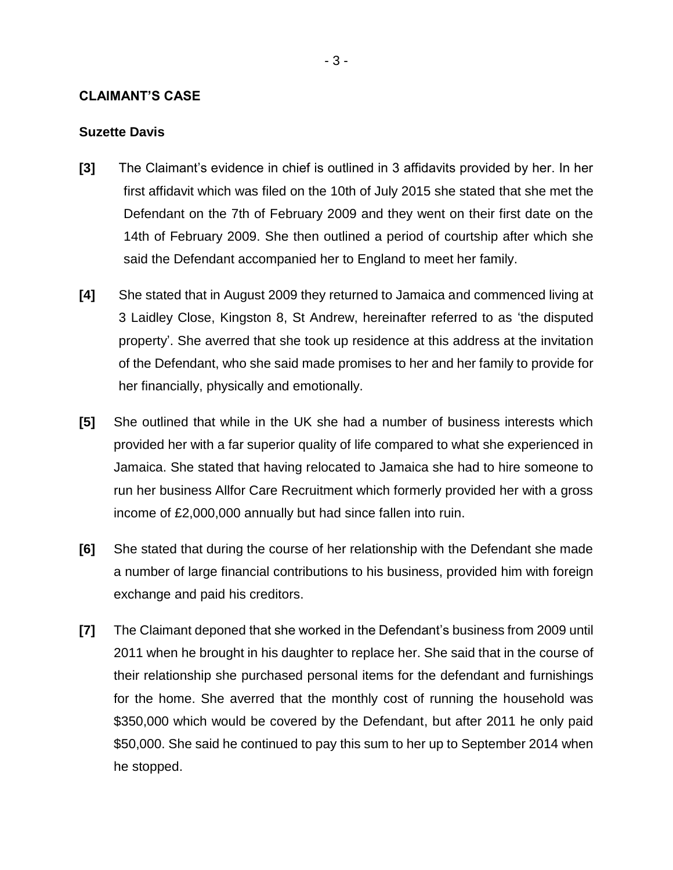#### **CLAIMANT'S CASE**

## **Suzette Davis**

- **[3]** The Claimant's evidence in chief is outlined in 3 affidavits provided by her. In her first affidavit which was filed on the 10th of July 2015 she stated that she met the Defendant on the 7th of February 2009 and they went on their first date on the 14th of February 2009. She then outlined a period of courtship after which she said the Defendant accompanied her to England to meet her family.
- **[4]** She stated that in August 2009 they returned to Jamaica and commenced living at 3 Laidley Close, Kingston 8, St Andrew, hereinafter referred to as 'the disputed property'. She averred that she took up residence at this address at the invitation of the Defendant, who she said made promises to her and her family to provide for her financially, physically and emotionally.
- **[5]** She outlined that while in the UK she had a number of business interests which provided her with a far superior quality of life compared to what she experienced in Jamaica. She stated that having relocated to Jamaica she had to hire someone to run her business Allfor Care Recruitment which formerly provided her with a gross income of £2,000,000 annually but had since fallen into ruin.
- **[6]** She stated that during the course of her relationship with the Defendant she made a number of large financial contributions to his business, provided him with foreign exchange and paid his creditors.
- **[7]** The Claimant deponed that she worked in the Defendant's business from 2009 until 2011 when he brought in his daughter to replace her. She said that in the course of their relationship she purchased personal items for the defendant and furnishings for the home. She averred that the monthly cost of running the household was \$350,000 which would be covered by the Defendant, but after 2011 he only paid \$50,000. She said he continued to pay this sum to her up to September 2014 when he stopped.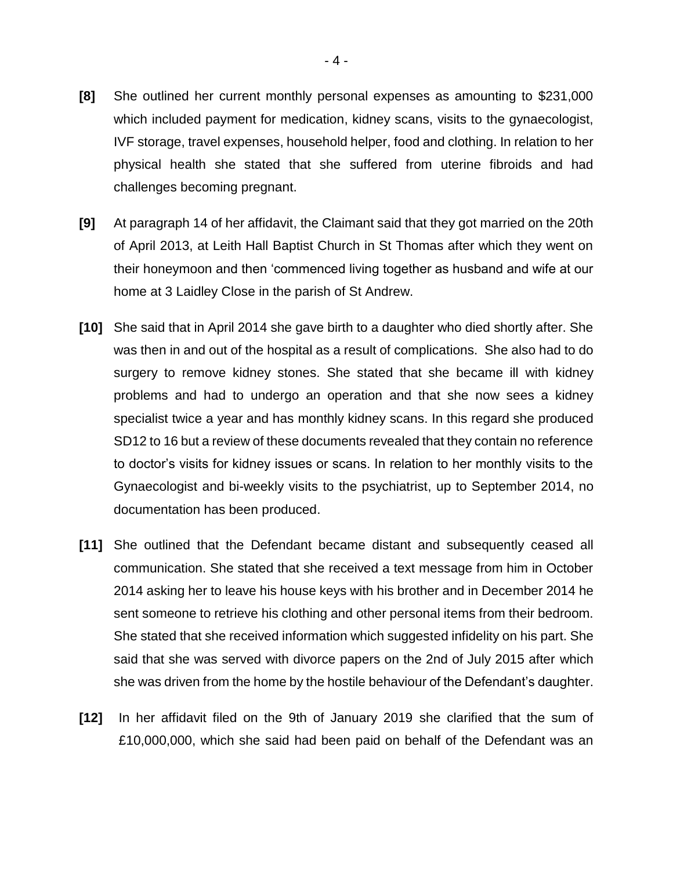- **[8]** She outlined her current monthly personal expenses as amounting to \$231,000 which included payment for medication, kidney scans, visits to the gynaecologist, IVF storage, travel expenses, household helper, food and clothing. In relation to her physical health she stated that she suffered from uterine fibroids and had challenges becoming pregnant.
- **[9]** At paragraph 14 of her affidavit, the Claimant said that they got married on the 20th of April 2013, at Leith Hall Baptist Church in St Thomas after which they went on their honeymoon and then 'commenced living together as husband and wife at our home at 3 Laidley Close in the parish of St Andrew.
- **[10]** She said that in April 2014 she gave birth to a daughter who died shortly after. She was then in and out of the hospital as a result of complications. She also had to do surgery to remove kidney stones. She stated that she became ill with kidney problems and had to undergo an operation and that she now sees a kidney specialist twice a year and has monthly kidney scans. In this regard she produced SD12 to 16 but a review of these documents revealed that they contain no reference to doctor's visits for kidney issues or scans. In relation to her monthly visits to the Gynaecologist and bi-weekly visits to the psychiatrist, up to September 2014, no documentation has been produced.
- **[11]** She outlined that the Defendant became distant and subsequently ceased all communication. She stated that she received a text message from him in October 2014 asking her to leave his house keys with his brother and in December 2014 he sent someone to retrieve his clothing and other personal items from their bedroom. She stated that she received information which suggested infidelity on his part. She said that she was served with divorce papers on the 2nd of July 2015 after which she was driven from the home by the hostile behaviour of the Defendant's daughter.
- **[12]** In her affidavit filed on the 9th of January 2019 she clarified that the sum of £10,000,000, which she said had been paid on behalf of the Defendant was an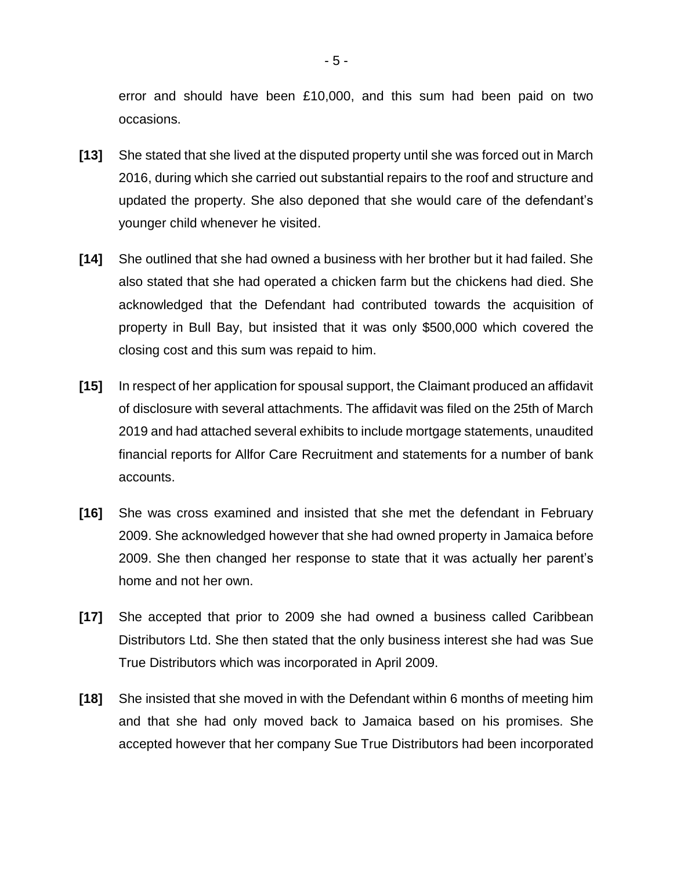error and should have been £10,000, and this sum had been paid on two occasions.

- **[13]** She stated that she lived at the disputed property until she was forced out in March 2016, during which she carried out substantial repairs to the roof and structure and updated the property. She also deponed that she would care of the defendant's younger child whenever he visited.
- **[14]** She outlined that she had owned a business with her brother but it had failed. She also stated that she had operated a chicken farm but the chickens had died. She acknowledged that the Defendant had contributed towards the acquisition of property in Bull Bay, but insisted that it was only \$500,000 which covered the closing cost and this sum was repaid to him.
- **[15]** In respect of her application for spousal support, the Claimant produced an affidavit of disclosure with several attachments. The affidavit was filed on the 25th of March 2019 and had attached several exhibits to include mortgage statements, unaudited financial reports for Allfor Care Recruitment and statements for a number of bank accounts.
- **[16]** She was cross examined and insisted that she met the defendant in February 2009. She acknowledged however that she had owned property in Jamaica before 2009. She then changed her response to state that it was actually her parent's home and not her own.
- **[17]** She accepted that prior to 2009 she had owned a business called Caribbean Distributors Ltd. She then stated that the only business interest she had was Sue True Distributors which was incorporated in April 2009.
- **[18]** She insisted that she moved in with the Defendant within 6 months of meeting him and that she had only moved back to Jamaica based on his promises. She accepted however that her company Sue True Distributors had been incorporated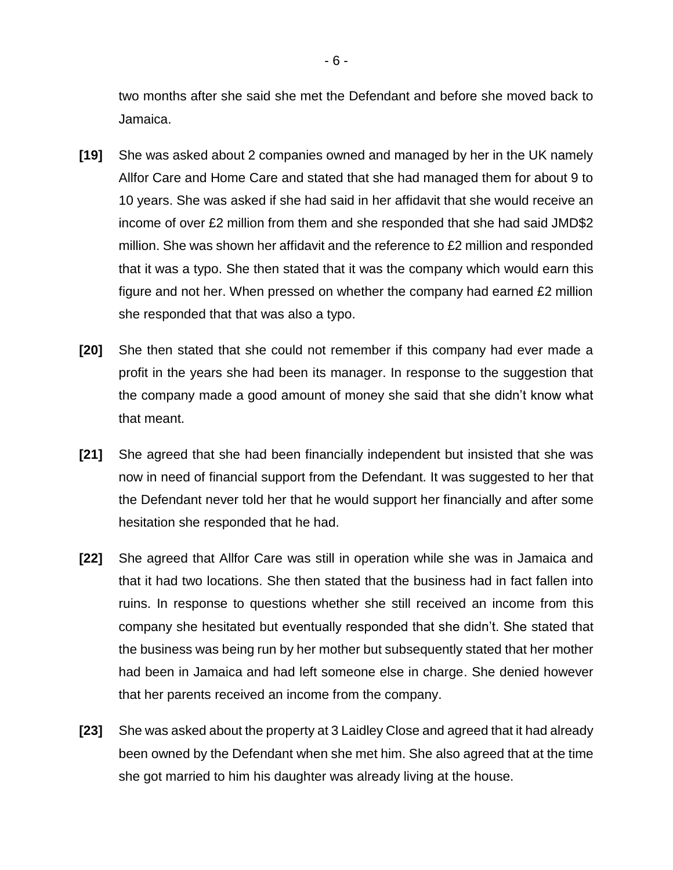two months after she said she met the Defendant and before she moved back to Jamaica.

- **[19]** She was asked about 2 companies owned and managed by her in the UK namely Allfor Care and Home Care and stated that she had managed them for about 9 to 10 years. She was asked if she had said in her affidavit that she would receive an income of over £2 million from them and she responded that she had said JMD\$2 million. She was shown her affidavit and the reference to £2 million and responded that it was a typo. She then stated that it was the company which would earn this figure and not her. When pressed on whether the company had earned £2 million she responded that that was also a typo.
- **[20]** She then stated that she could not remember if this company had ever made a profit in the years she had been its manager. In response to the suggestion that the company made a good amount of money she said that she didn't know what that meant.
- **[21]** She agreed that she had been financially independent but insisted that she was now in need of financial support from the Defendant. It was suggested to her that the Defendant never told her that he would support her financially and after some hesitation she responded that he had.
- **[22]** She agreed that Allfor Care was still in operation while she was in Jamaica and that it had two locations. She then stated that the business had in fact fallen into ruins. In response to questions whether she still received an income from this company she hesitated but eventually responded that she didn't. She stated that the business was being run by her mother but subsequently stated that her mother had been in Jamaica and had left someone else in charge. She denied however that her parents received an income from the company.
- **[23]** She was asked about the property at 3 Laidley Close and agreed that it had already been owned by the Defendant when she met him. She also agreed that at the time she got married to him his daughter was already living at the house.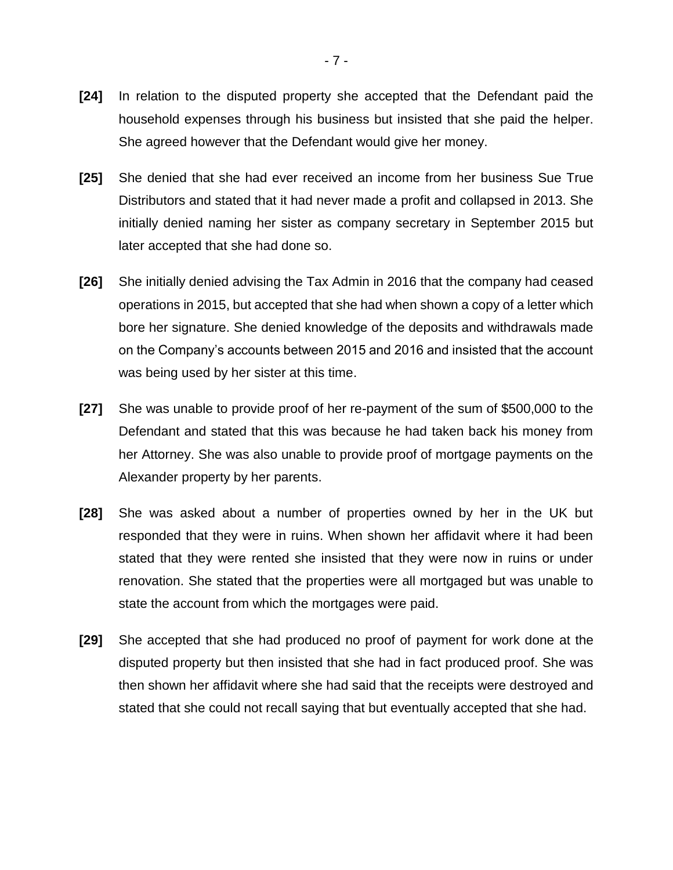- **[24]** In relation to the disputed property she accepted that the Defendant paid the household expenses through his business but insisted that she paid the helper. She agreed however that the Defendant would give her money.
- **[25]** She denied that she had ever received an income from her business Sue True Distributors and stated that it had never made a profit and collapsed in 2013. She initially denied naming her sister as company secretary in September 2015 but later accepted that she had done so.
- **[26]** She initially denied advising the Tax Admin in 2016 that the company had ceased operations in 2015, but accepted that she had when shown a copy of a letter which bore her signature. She denied knowledge of the deposits and withdrawals made on the Company's accounts between 2015 and 2016 and insisted that the account was being used by her sister at this time.
- **[27]** She was unable to provide proof of her re-payment of the sum of \$500,000 to the Defendant and stated that this was because he had taken back his money from her Attorney. She was also unable to provide proof of mortgage payments on the Alexander property by her parents.
- **[28]** She was asked about a number of properties owned by her in the UK but responded that they were in ruins. When shown her affidavit where it had been stated that they were rented she insisted that they were now in ruins or under renovation. She stated that the properties were all mortgaged but was unable to state the account from which the mortgages were paid.
- **[29]** She accepted that she had produced no proof of payment for work done at the disputed property but then insisted that she had in fact produced proof. She was then shown her affidavit where she had said that the receipts were destroyed and stated that she could not recall saying that but eventually accepted that she had.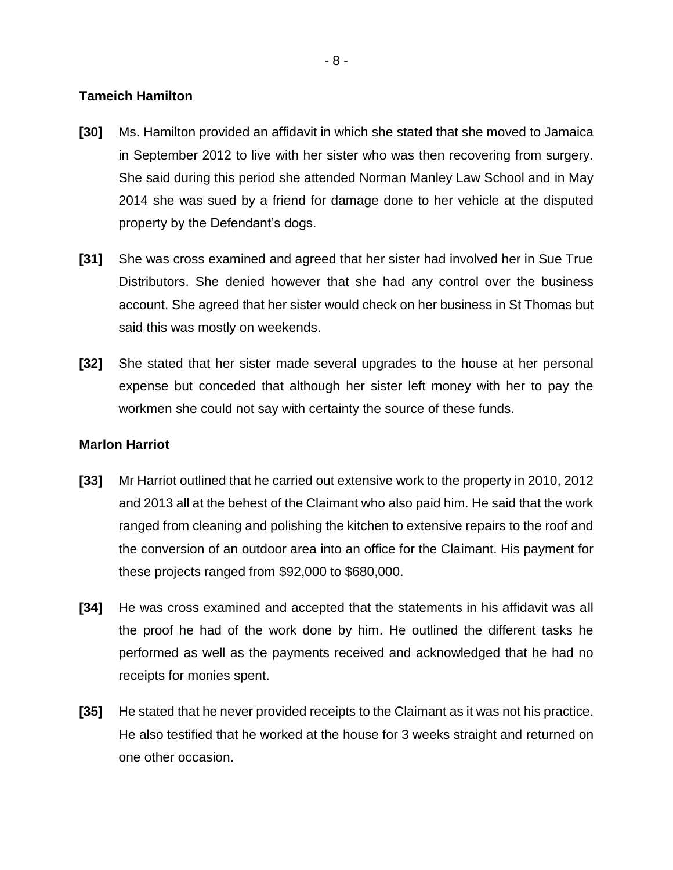#### **Tameich Hamilton**

- **[30]** Ms. Hamilton provided an affidavit in which she stated that she moved to Jamaica in September 2012 to live with her sister who was then recovering from surgery. She said during this period she attended Norman Manley Law School and in May 2014 she was sued by a friend for damage done to her vehicle at the disputed property by the Defendant's dogs.
- **[31]** She was cross examined and agreed that her sister had involved her in Sue True Distributors. She denied however that she had any control over the business account. She agreed that her sister would check on her business in St Thomas but said this was mostly on weekends.
- **[32]** She stated that her sister made several upgrades to the house at her personal expense but conceded that although her sister left money with her to pay the workmen she could not say with certainty the source of these funds.

#### **Marlon Harriot**

- **[33]** Mr Harriot outlined that he carried out extensive work to the property in 2010, 2012 and 2013 all at the behest of the Claimant who also paid him. He said that the work ranged from cleaning and polishing the kitchen to extensive repairs to the roof and the conversion of an outdoor area into an office for the Claimant. His payment for these projects ranged from \$92,000 to \$680,000.
- **[34]** He was cross examined and accepted that the statements in his affidavit was all the proof he had of the work done by him. He outlined the different tasks he performed as well as the payments received and acknowledged that he had no receipts for monies spent.
- **[35]** He stated that he never provided receipts to the Claimant as it was not his practice. He also testified that he worked at the house for 3 weeks straight and returned on one other occasion.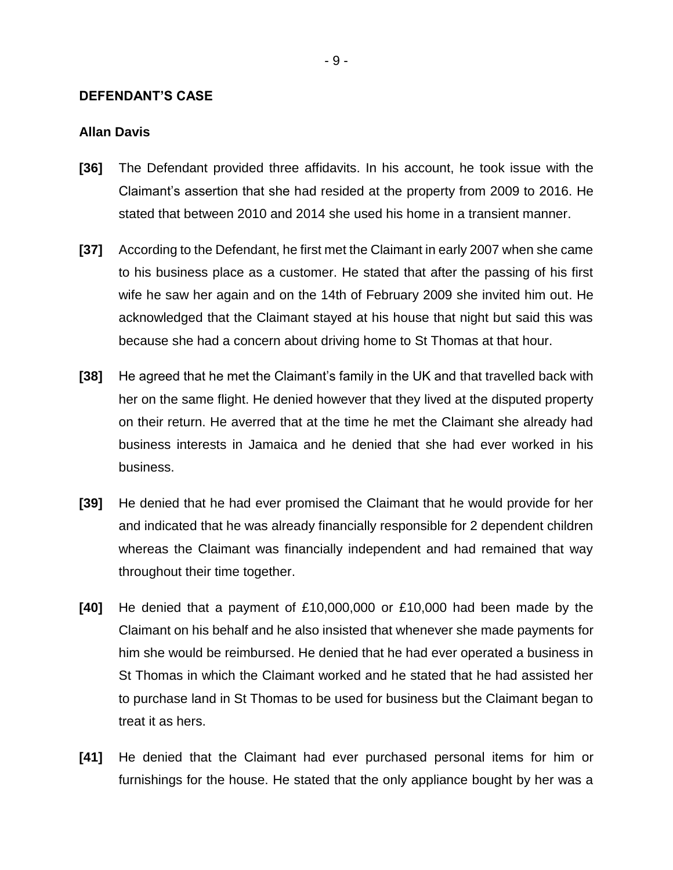#### **DEFENDANT'S CASE**

#### **Allan Davis**

- **[36]** The Defendant provided three affidavits. In his account, he took issue with the Claimant's assertion that she had resided at the property from 2009 to 2016. He stated that between 2010 and 2014 she used his home in a transient manner.
- **[37]** According to the Defendant, he first met the Claimant in early 2007 when she came to his business place as a customer. He stated that after the passing of his first wife he saw her again and on the 14th of February 2009 she invited him out. He acknowledged that the Claimant stayed at his house that night but said this was because she had a concern about driving home to St Thomas at that hour.
- **[38]** He agreed that he met the Claimant's family in the UK and that travelled back with her on the same flight. He denied however that they lived at the disputed property on their return. He averred that at the time he met the Claimant she already had business interests in Jamaica and he denied that she had ever worked in his business.
- **[39]** He denied that he had ever promised the Claimant that he would provide for her and indicated that he was already financially responsible for 2 dependent children whereas the Claimant was financially independent and had remained that way throughout their time together.
- **[40]** He denied that a payment of £10,000,000 or £10,000 had been made by the Claimant on his behalf and he also insisted that whenever she made payments for him she would be reimbursed. He denied that he had ever operated a business in St Thomas in which the Claimant worked and he stated that he had assisted her to purchase land in St Thomas to be used for business but the Claimant began to treat it as hers.
- **[41]** He denied that the Claimant had ever purchased personal items for him or furnishings for the house. He stated that the only appliance bought by her was a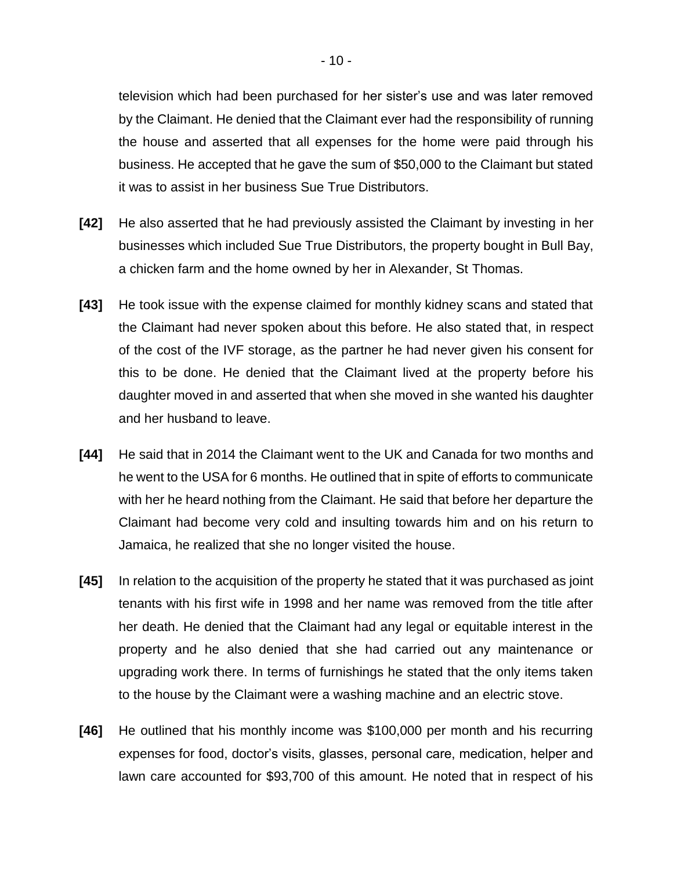television which had been purchased for her sister's use and was later removed by the Claimant. He denied that the Claimant ever had the responsibility of running the house and asserted that all expenses for the home were paid through his business. He accepted that he gave the sum of \$50,000 to the Claimant but stated it was to assist in her business Sue True Distributors.

- **[42]** He also asserted that he had previously assisted the Claimant by investing in her businesses which included Sue True Distributors, the property bought in Bull Bay, a chicken farm and the home owned by her in Alexander, St Thomas.
- **[43]** He took issue with the expense claimed for monthly kidney scans and stated that the Claimant had never spoken about this before. He also stated that, in respect of the cost of the IVF storage, as the partner he had never given his consent for this to be done. He denied that the Claimant lived at the property before his daughter moved in and asserted that when she moved in she wanted his daughter and her husband to leave.
- **[44]** He said that in 2014 the Claimant went to the UK and Canada for two months and he went to the USA for 6 months. He outlined that in spite of efforts to communicate with her he heard nothing from the Claimant. He said that before her departure the Claimant had become very cold and insulting towards him and on his return to Jamaica, he realized that she no longer visited the house.
- **[45]** In relation to the acquisition of the property he stated that it was purchased as joint tenants with his first wife in 1998 and her name was removed from the title after her death. He denied that the Claimant had any legal or equitable interest in the property and he also denied that she had carried out any maintenance or upgrading work there. In terms of furnishings he stated that the only items taken to the house by the Claimant were a washing machine and an electric stove.
- **[46]** He outlined that his monthly income was \$100,000 per month and his recurring expenses for food, doctor's visits, glasses, personal care, medication, helper and lawn care accounted for \$93,700 of this amount. He noted that in respect of his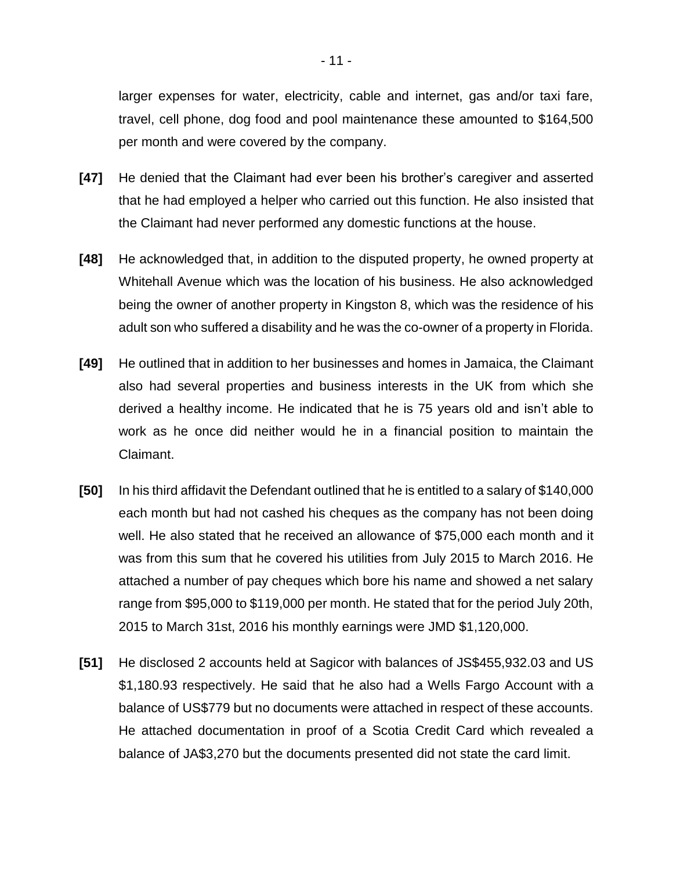larger expenses for water, electricity, cable and internet, gas and/or taxi fare, travel, cell phone, dog food and pool maintenance these amounted to \$164,500 per month and were covered by the company.

- **[47]** He denied that the Claimant had ever been his brother's caregiver and asserted that he had employed a helper who carried out this function. He also insisted that the Claimant had never performed any domestic functions at the house.
- **[48]** He acknowledged that, in addition to the disputed property, he owned property at Whitehall Avenue which was the location of his business. He also acknowledged being the owner of another property in Kingston 8, which was the residence of his adult son who suffered a disability and he was the co-owner of a property in Florida.
- **[49]** He outlined that in addition to her businesses and homes in Jamaica, the Claimant also had several properties and business interests in the UK from which she derived a healthy income. He indicated that he is 75 years old and isn't able to work as he once did neither would he in a financial position to maintain the Claimant.
- **[50]** In his third affidavit the Defendant outlined that he is entitled to a salary of \$140,000 each month but had not cashed his cheques as the company has not been doing well. He also stated that he received an allowance of \$75,000 each month and it was from this sum that he covered his utilities from July 2015 to March 2016. He attached a number of pay cheques which bore his name and showed a net salary range from \$95,000 to \$119,000 per month. He stated that for the period July 20th, 2015 to March 31st, 2016 his monthly earnings were JMD \$1,120,000.
- **[51]** He disclosed 2 accounts held at Sagicor with balances of JS\$455,932.03 and US \$1,180.93 respectively. He said that he also had a Wells Fargo Account with a balance of US\$779 but no documents were attached in respect of these accounts. He attached documentation in proof of a Scotia Credit Card which revealed a balance of JA\$3,270 but the documents presented did not state the card limit.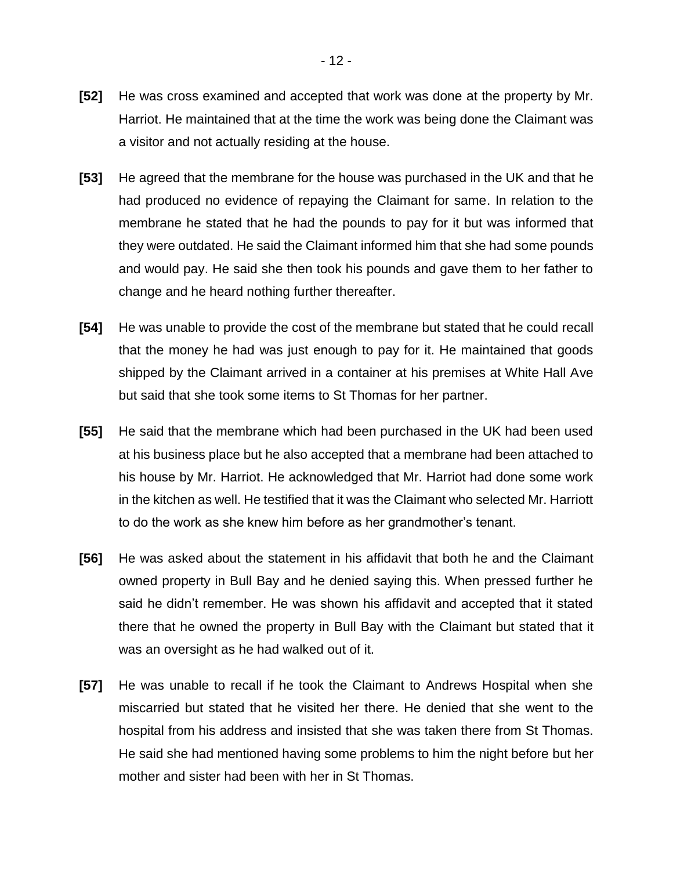- **[52]** He was cross examined and accepted that work was done at the property by Mr. Harriot. He maintained that at the time the work was being done the Claimant was a visitor and not actually residing at the house.
- **[53]** He agreed that the membrane for the house was purchased in the UK and that he had produced no evidence of repaying the Claimant for same. In relation to the membrane he stated that he had the pounds to pay for it but was informed that they were outdated. He said the Claimant informed him that she had some pounds and would pay. He said she then took his pounds and gave them to her father to change and he heard nothing further thereafter.
- **[54]** He was unable to provide the cost of the membrane but stated that he could recall that the money he had was just enough to pay for it. He maintained that goods shipped by the Claimant arrived in a container at his premises at White Hall Ave but said that she took some items to St Thomas for her partner.
- **[55]** He said that the membrane which had been purchased in the UK had been used at his business place but he also accepted that a membrane had been attached to his house by Mr. Harriot. He acknowledged that Mr. Harriot had done some work in the kitchen as well. He testified that it was the Claimant who selected Mr. Harriott to do the work as she knew him before as her grandmother's tenant.
- **[56]** He was asked about the statement in his affidavit that both he and the Claimant owned property in Bull Bay and he denied saying this. When pressed further he said he didn't remember. He was shown his affidavit and accepted that it stated there that he owned the property in Bull Bay with the Claimant but stated that it was an oversight as he had walked out of it.
- **[57]** He was unable to recall if he took the Claimant to Andrews Hospital when she miscarried but stated that he visited her there. He denied that she went to the hospital from his address and insisted that she was taken there from St Thomas. He said she had mentioned having some problems to him the night before but her mother and sister had been with her in St Thomas.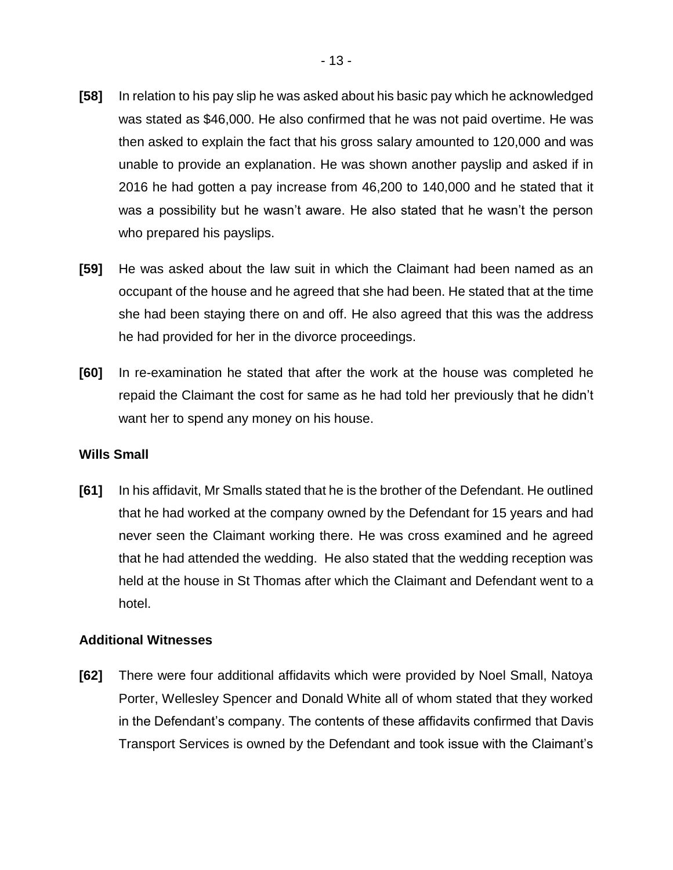- **[58]** In relation to his pay slip he was asked about his basic pay which he acknowledged was stated as \$46,000. He also confirmed that he was not paid overtime. He was then asked to explain the fact that his gross salary amounted to 120,000 and was unable to provide an explanation. He was shown another payslip and asked if in 2016 he had gotten a pay increase from 46,200 to 140,000 and he stated that it was a possibility but he wasn't aware. He also stated that he wasn't the person who prepared his payslips.
- **[59]** He was asked about the law suit in which the Claimant had been named as an occupant of the house and he agreed that she had been. He stated that at the time she had been staying there on and off. He also agreed that this was the address he had provided for her in the divorce proceedings.
- **[60]** In re-examination he stated that after the work at the house was completed he repaid the Claimant the cost for same as he had told her previously that he didn't want her to spend any money on his house.

## **Wills Small**

**[61]** In his affidavit, Mr Smalls stated that he is the brother of the Defendant. He outlined that he had worked at the company owned by the Defendant for 15 years and had never seen the Claimant working there. He was cross examined and he agreed that he had attended the wedding. He also stated that the wedding reception was held at the house in St Thomas after which the Claimant and Defendant went to a hotel.

## **Additional Witnesses**

**[62]** There were four additional affidavits which were provided by Noel Small, Natoya Porter, Wellesley Spencer and Donald White all of whom stated that they worked in the Defendant's company. The contents of these affidavits confirmed that Davis Transport Services is owned by the Defendant and took issue with the Claimant's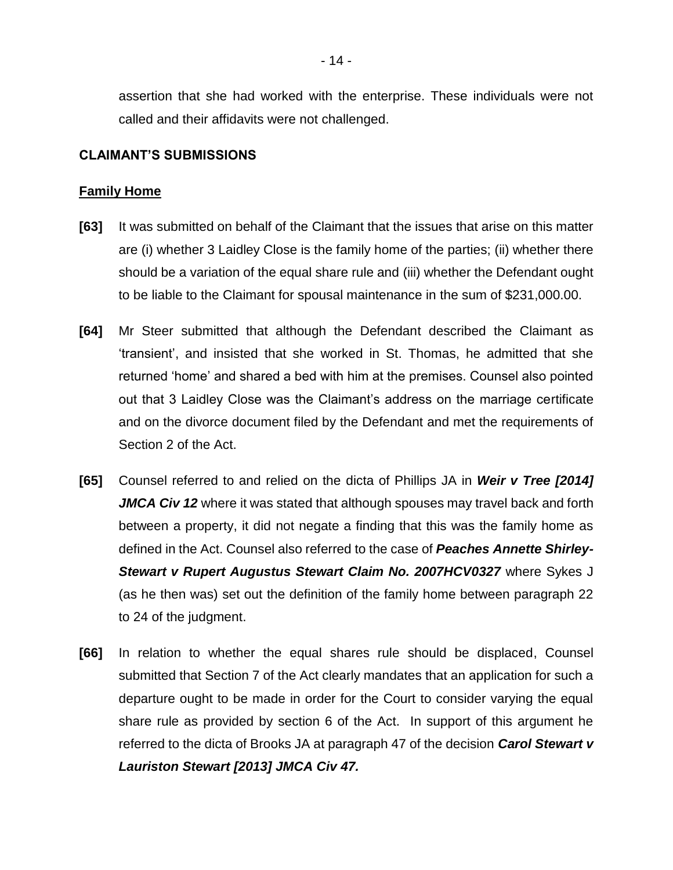assertion that she had worked with the enterprise. These individuals were not called and their affidavits were not challenged.

#### **CLAIMANT'S SUBMISSIONS**

## **Family Home**

- **[63]** It was submitted on behalf of the Claimant that the issues that arise on this matter are (i) whether 3 Laidley Close is the family home of the parties; (ii) whether there should be a variation of the equal share rule and (iii) whether the Defendant ought to be liable to the Claimant for spousal maintenance in the sum of \$231,000.00.
- **[64]** Mr Steer submitted that although the Defendant described the Claimant as 'transient', and insisted that she worked in St. Thomas, he admitted that she returned 'home' and shared a bed with him at the premises. Counsel also pointed out that 3 Laidley Close was the Claimant's address on the marriage certificate and on the divorce document filed by the Defendant and met the requirements of Section 2 of the Act.
- **[65]** Counsel referred to and relied on the dicta of Phillips JA in *Weir v Tree [2014] JMCA Civ 12* where it was stated that although spouses may travel back and forth between a property, it did not negate a finding that this was the family home as defined in the Act. Counsel also referred to the case of *Peaches Annette Shirley-Stewart v Rupert Augustus Stewart Claim No. 2007HCV0327* where Sykes J (as he then was) set out the definition of the family home between paragraph 22 to 24 of the judgment.
- **[66]** In relation to whether the equal shares rule should be displaced, Counsel submitted that Section 7 of the Act clearly mandates that an application for such a departure ought to be made in order for the Court to consider varying the equal share rule as provided by section 6 of the Act. In support of this argument he referred to the dicta of Brooks JA at paragraph 47 of the decision *Carol Stewart v Lauriston Stewart [2013] JMCA Civ 47.*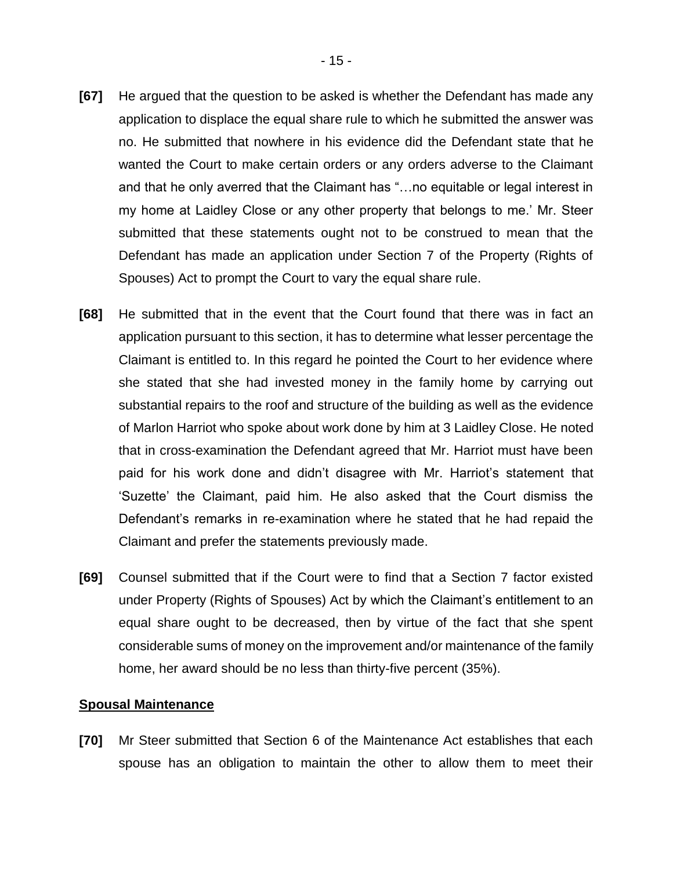- **[67]** He argued that the question to be asked is whether the Defendant has made any application to displace the equal share rule to which he submitted the answer was no. He submitted that nowhere in his evidence did the Defendant state that he wanted the Court to make certain orders or any orders adverse to the Claimant and that he only averred that the Claimant has "…no equitable or legal interest in my home at Laidley Close or any other property that belongs to me.' Mr. Steer submitted that these statements ought not to be construed to mean that the Defendant has made an application under Section 7 of the Property (Rights of Spouses) Act to prompt the Court to vary the equal share rule.
- **[68]** He submitted that in the event that the Court found that there was in fact an application pursuant to this section, it has to determine what lesser percentage the Claimant is entitled to. In this regard he pointed the Court to her evidence where she stated that she had invested money in the family home by carrying out substantial repairs to the roof and structure of the building as well as the evidence of Marlon Harriot who spoke about work done by him at 3 Laidley Close. He noted that in cross-examination the Defendant agreed that Mr. Harriot must have been paid for his work done and didn't disagree with Mr. Harriot's statement that 'Suzette' the Claimant, paid him. He also asked that the Court dismiss the Defendant's remarks in re-examination where he stated that he had repaid the Claimant and prefer the statements previously made.
- **[69]** Counsel submitted that if the Court were to find that a Section 7 factor existed under Property (Rights of Spouses) Act by which the Claimant's entitlement to an equal share ought to be decreased, then by virtue of the fact that she spent considerable sums of money on the improvement and/or maintenance of the family home, her award should be no less than thirty-five percent (35%).

#### **Spousal Maintenance**

**[70]** Mr Steer submitted that Section 6 of the Maintenance Act establishes that each spouse has an obligation to maintain the other to allow them to meet their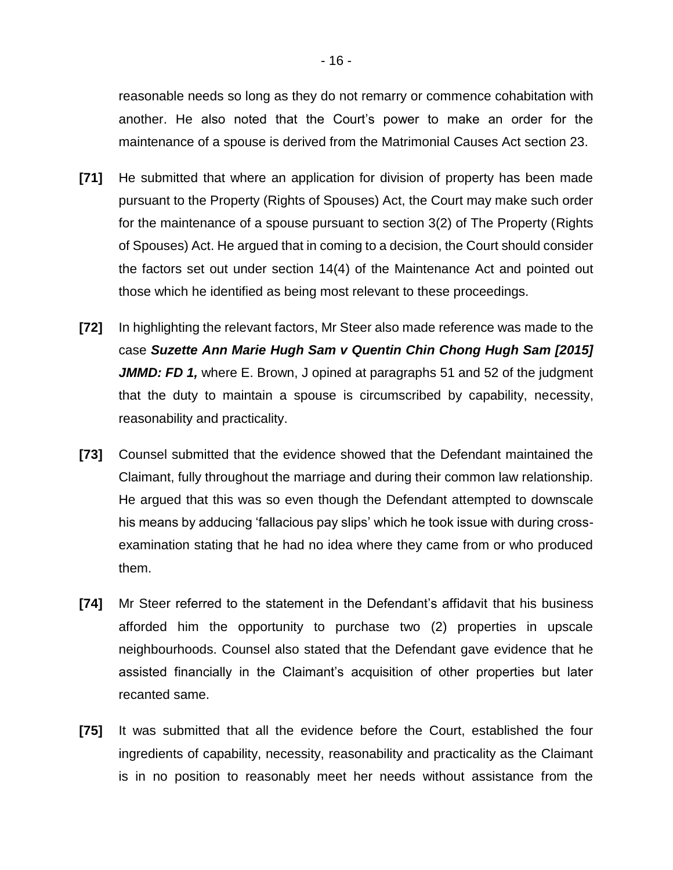reasonable needs so long as they do not remarry or commence cohabitation with another. He also noted that the Court's power to make an order for the maintenance of a spouse is derived from the Matrimonial Causes Act section 23.

- **[71]** He submitted that where an application for division of property has been made pursuant to the Property (Rights of Spouses) Act, the Court may make such order for the maintenance of a spouse pursuant to section 3(2) of The Property (Rights of Spouses) Act. He argued that in coming to a decision, the Court should consider the factors set out under section 14(4) of the Maintenance Act and pointed out those which he identified as being most relevant to these proceedings.
- **[72]** In highlighting the relevant factors, Mr Steer also made reference was made to the case *Suzette Ann Marie Hugh Sam v Quentin Chin Chong Hugh Sam [2015] JMMD: FD 1,* where E. Brown, J opined at paragraphs 51 and 52 of the judgment that the duty to maintain a spouse is circumscribed by capability, necessity, reasonability and practicality.
- **[73]** Counsel submitted that the evidence showed that the Defendant maintained the Claimant, fully throughout the marriage and during their common law relationship. He argued that this was so even though the Defendant attempted to downscale his means by adducing 'fallacious pay slips' which he took issue with during crossexamination stating that he had no idea where they came from or who produced them.
- **[74]** Mr Steer referred to the statement in the Defendant's affidavit that his business afforded him the opportunity to purchase two (2) properties in upscale neighbourhoods. Counsel also stated that the Defendant gave evidence that he assisted financially in the Claimant's acquisition of other properties but later recanted same.
- **[75]** It was submitted that all the evidence before the Court, established the four ingredients of capability, necessity, reasonability and practicality as the Claimant is in no position to reasonably meet her needs without assistance from the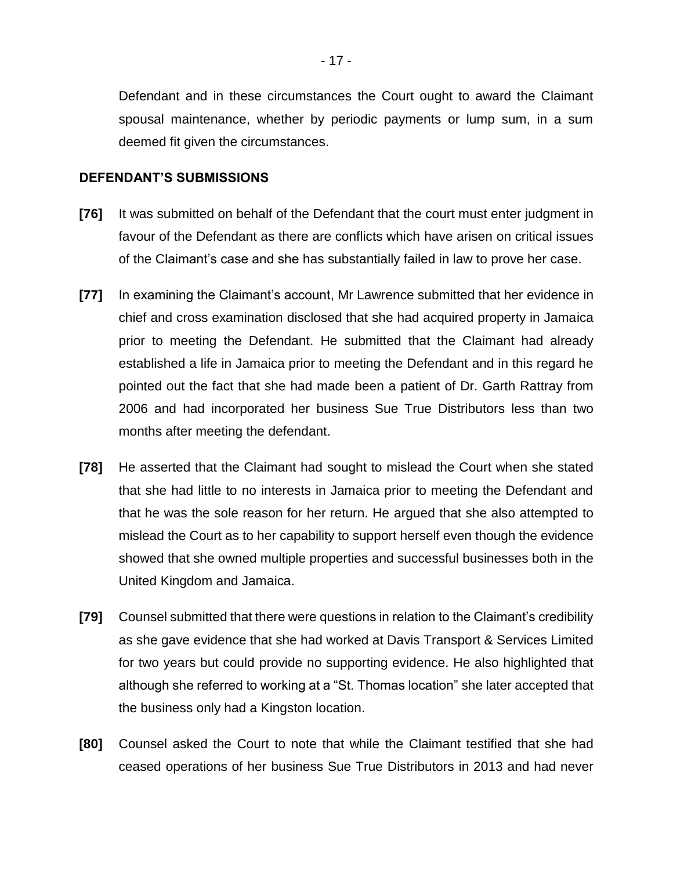Defendant and in these circumstances the Court ought to award the Claimant spousal maintenance, whether by periodic payments or lump sum, in a sum deemed fit given the circumstances.

#### **DEFENDANT'S SUBMISSIONS**

- **[76]** It was submitted on behalf of the Defendant that the court must enter judgment in favour of the Defendant as there are conflicts which have arisen on critical issues of the Claimant's case and she has substantially failed in law to prove her case.
- **[77]** In examining the Claimant's account, Mr Lawrence submitted that her evidence in chief and cross examination disclosed that she had acquired property in Jamaica prior to meeting the Defendant. He submitted that the Claimant had already established a life in Jamaica prior to meeting the Defendant and in this regard he pointed out the fact that she had made been a patient of Dr. Garth Rattray from 2006 and had incorporated her business Sue True Distributors less than two months after meeting the defendant.
- **[78]** He asserted that the Claimant had sought to mislead the Court when she stated that she had little to no interests in Jamaica prior to meeting the Defendant and that he was the sole reason for her return. He argued that she also attempted to mislead the Court as to her capability to support herself even though the evidence showed that she owned multiple properties and successful businesses both in the United Kingdom and Jamaica.
- **[79]** Counsel submitted that there were questions in relation to the Claimant's credibility as she gave evidence that she had worked at Davis Transport & Services Limited for two years but could provide no supporting evidence. He also highlighted that although she referred to working at a "St. Thomas location" she later accepted that the business only had a Kingston location.
- **[80]** Counsel asked the Court to note that while the Claimant testified that she had ceased operations of her business Sue True Distributors in 2013 and had never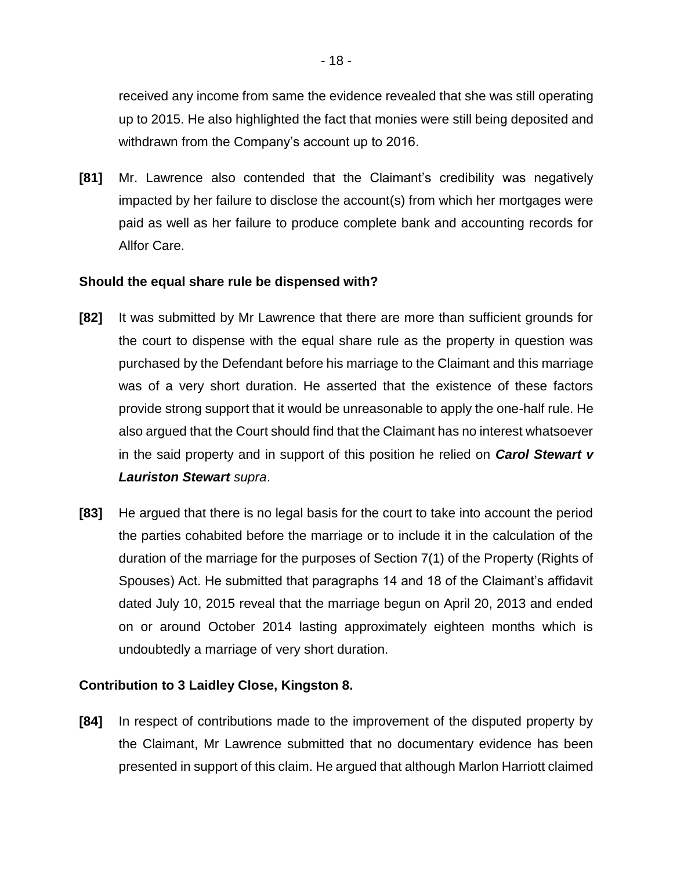received any income from same the evidence revealed that she was still operating up to 2015. He also highlighted the fact that monies were still being deposited and withdrawn from the Company's account up to 2016.

**[81]** Mr. Lawrence also contended that the Claimant's credibility was negatively impacted by her failure to disclose the account(s) from which her mortgages were paid as well as her failure to produce complete bank and accounting records for Allfor Care.

## **Should the equal share rule be dispensed with?**

- **[82]** It was submitted by Mr Lawrence that there are more than sufficient grounds for the court to dispense with the equal share rule as the property in question was purchased by the Defendant before his marriage to the Claimant and this marriage was of a very short duration. He asserted that the existence of these factors provide strong support that it would be unreasonable to apply the one-half rule. He also argued that the Court should find that the Claimant has no interest whatsoever in the said property and in support of this position he relied on *Carol Stewart v Lauriston Stewart supra*.
- **[83]** He argued that there is no legal basis for the court to take into account the period the parties cohabited before the marriage or to include it in the calculation of the duration of the marriage for the purposes of Section 7(1) of the Property (Rights of Spouses) Act. He submitted that paragraphs 14 and 18 of the Claimant's affidavit dated July 10, 2015 reveal that the marriage begun on April 20, 2013 and ended on or around October 2014 lasting approximately eighteen months which is undoubtedly a marriage of very short duration.

## **Contribution to 3 Laidley Close, Kingston 8.**

**[84]** In respect of contributions made to the improvement of the disputed property by the Claimant, Mr Lawrence submitted that no documentary evidence has been presented in support of this claim. He argued that although Marlon Harriott claimed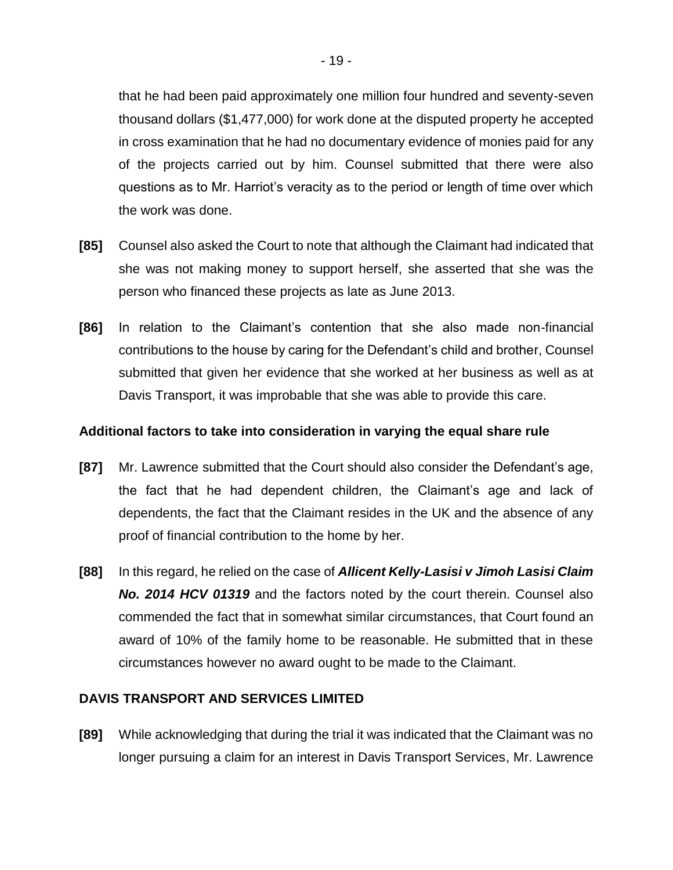that he had been paid approximately one million four hundred and seventy-seven thousand dollars (\$1,477,000) for work done at the disputed property he accepted in cross examination that he had no documentary evidence of monies paid for any of the projects carried out by him. Counsel submitted that there were also questions as to Mr. Harriot's veracity as to the period or length of time over which the work was done.

- **[85]** Counsel also asked the Court to note that although the Claimant had indicated that she was not making money to support herself, she asserted that she was the person who financed these projects as late as June 2013.
- **[86]** In relation to the Claimant's contention that she also made non-financial contributions to the house by caring for the Defendant's child and brother, Counsel submitted that given her evidence that she worked at her business as well as at Davis Transport, it was improbable that she was able to provide this care.

## **Additional factors to take into consideration in varying the equal share rule**

- **[87]** Mr. Lawrence submitted that the Court should also consider the Defendant's age, the fact that he had dependent children, the Claimant's age and lack of dependents, the fact that the Claimant resides in the UK and the absence of any proof of financial contribution to the home by her.
- **[88]** In this regard, he relied on the case of *Allicent Kelly-Lasisi v Jimoh Lasisi Claim No. 2014 HCV 01319* and the factors noted by the court therein. Counsel also commended the fact that in somewhat similar circumstances, that Court found an award of 10% of the family home to be reasonable. He submitted that in these circumstances however no award ought to be made to the Claimant.

## **DAVIS TRANSPORT AND SERVICES LIMITED**

**[89]** While acknowledging that during the trial it was indicated that the Claimant was no longer pursuing a claim for an interest in Davis Transport Services, Mr. Lawrence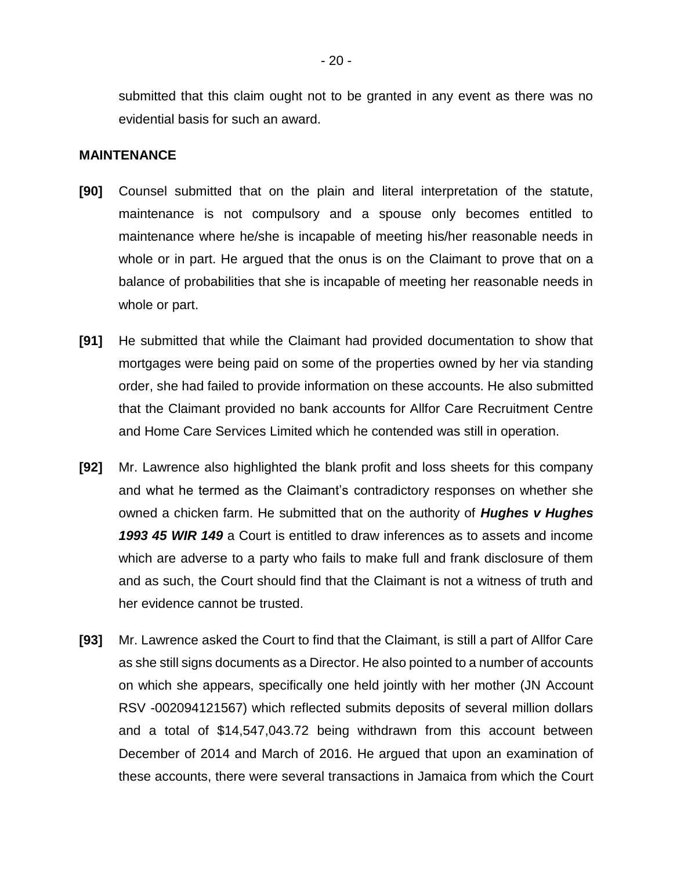submitted that this claim ought not to be granted in any event as there was no evidential basis for such an award.

#### **MAINTENANCE**

- **[90]** Counsel submitted that on the plain and literal interpretation of the statute, maintenance is not compulsory and a spouse only becomes entitled to maintenance where he/she is incapable of meeting his/her reasonable needs in whole or in part. He argued that the onus is on the Claimant to prove that on a balance of probabilities that she is incapable of meeting her reasonable needs in whole or part.
- **[91]** He submitted that while the Claimant had provided documentation to show that mortgages were being paid on some of the properties owned by her via standing order, she had failed to provide information on these accounts. He also submitted that the Claimant provided no bank accounts for Allfor Care Recruitment Centre and Home Care Services Limited which he contended was still in operation.
- **[92]** Mr. Lawrence also highlighted the blank profit and loss sheets for this company and what he termed as the Claimant's contradictory responses on whether she owned a chicken farm. He submitted that on the authority of *Hughes v Hughes 1993 45 WIR 149* a Court is entitled to draw inferences as to assets and income which are adverse to a party who fails to make full and frank disclosure of them and as such, the Court should find that the Claimant is not a witness of truth and her evidence cannot be trusted.
- **[93]** Mr. Lawrence asked the Court to find that the Claimant, is still a part of Allfor Care as she still signs documents as a Director. He also pointed to a number of accounts on which she appears, specifically one held jointly with her mother (JN Account RSV -002094121567) which reflected submits deposits of several million dollars and a total of \$14,547,043.72 being withdrawn from this account between December of 2014 and March of 2016. He argued that upon an examination of these accounts, there were several transactions in Jamaica from which the Court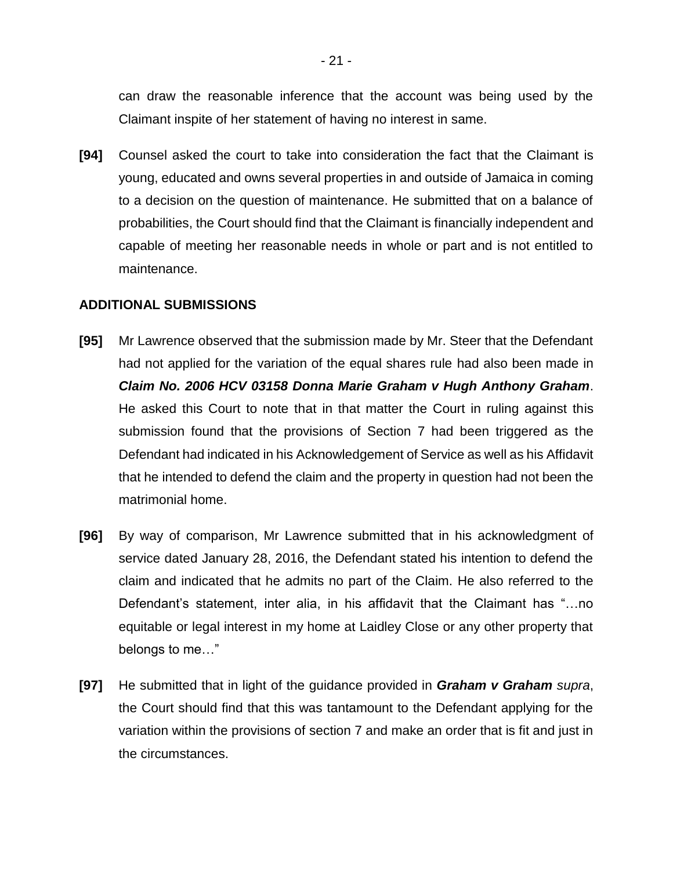can draw the reasonable inference that the account was being used by the Claimant inspite of her statement of having no interest in same.

**[94]** Counsel asked the court to take into consideration the fact that the Claimant is young, educated and owns several properties in and outside of Jamaica in coming to a decision on the question of maintenance. He submitted that on a balance of probabilities, the Court should find that the Claimant is financially independent and capable of meeting her reasonable needs in whole or part and is not entitled to maintenance.

## **ADDITIONAL SUBMISSIONS**

- **[95]** Mr Lawrence observed that the submission made by Mr. Steer that the Defendant had not applied for the variation of the equal shares rule had also been made in *Claim No. 2006 HCV 03158 Donna Marie Graham v Hugh Anthony Graham*. He asked this Court to note that in that matter the Court in ruling against this submission found that the provisions of Section 7 had been triggered as the Defendant had indicated in his Acknowledgement of Service as well as his Affidavit that he intended to defend the claim and the property in question had not been the matrimonial home.
- **[96]** By way of comparison, Mr Lawrence submitted that in his acknowledgment of service dated January 28, 2016, the Defendant stated his intention to defend the claim and indicated that he admits no part of the Claim. He also referred to the Defendant's statement, inter alia, in his affidavit that the Claimant has "…no equitable or legal interest in my home at Laidley Close or any other property that belongs to me…"
- **[97]** He submitted that in light of the guidance provided in *Graham v Graham supra*, the Court should find that this was tantamount to the Defendant applying for the variation within the provisions of section 7 and make an order that is fit and just in the circumstances.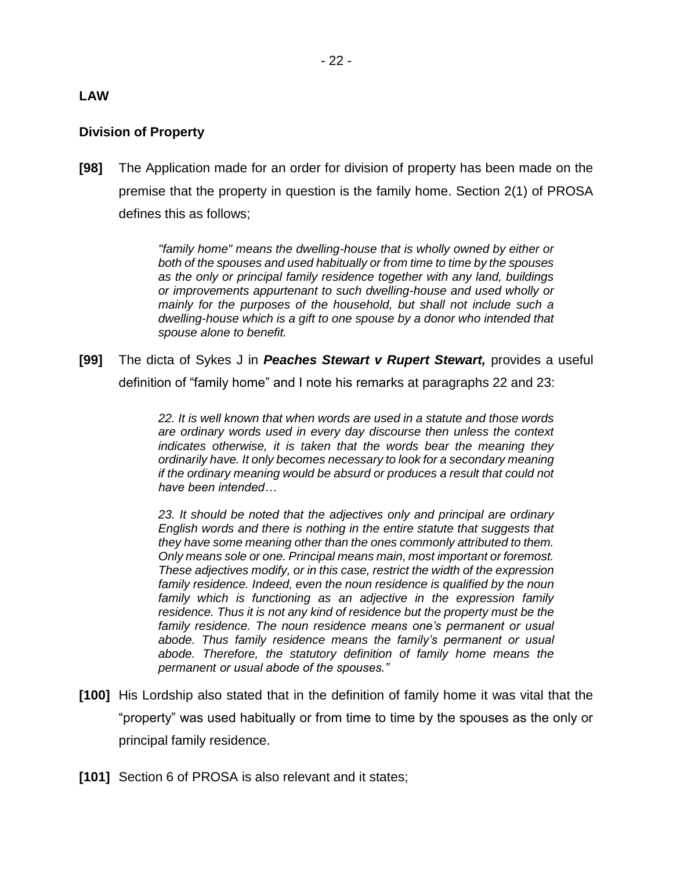## **LAW**

## **Division of Property**

**[98]** The Application made for an order for division of property has been made on the premise that the property in question is the family home. Section 2(1) of PROSA defines this as follows;

> *"family home" means the dwelling-house that is wholly owned by either or both of the spouses and used habitually or from time to time by the spouses as the only or principal family residence together with any land, buildings or improvements appurtenant to such dwelling-house and used wholly or mainly for the purposes of the household, but shall not include such a dwelling-house which is a gift to one spouse by a donor who intended that spouse alone to benefit.*

**[99]** The dicta of Sykes J in *Peaches Stewart v Rupert Stewart,* provides a useful definition of "family home" and I note his remarks at paragraphs 22 and 23:

> *22. It is well known that when words are used in a statute and those words are ordinary words used in every day discourse then unless the context indicates otherwise, it is taken that the words bear the meaning they ordinarily have. It only becomes necessary to look for a secondary meaning if the ordinary meaning would be absurd or produces a result that could not have been intended…*

> *23. It should be noted that the adjectives only and principal are ordinary English words and there is nothing in the entire statute that suggests that they have some meaning other than the ones commonly attributed to them. Only means sole or one. Principal means main, most important or foremost. These adjectives modify, or in this case, restrict the width of the expression family residence. Indeed, even the noun residence is qualified by the noun family which is functioning as an adjective in the expression family residence. Thus it is not any kind of residence but the property must be the family residence. The noun residence means one's permanent or usual abode. Thus family residence means the family's permanent or usual abode. Therefore, the statutory definition of family home means the permanent or usual abode of the spouses."*

- **[100]** His Lordship also stated that in the definition of family home it was vital that the "property" was used habitually or from time to time by the spouses as the only or principal family residence.
- **[101]** Section 6 of PROSA is also relevant and it states;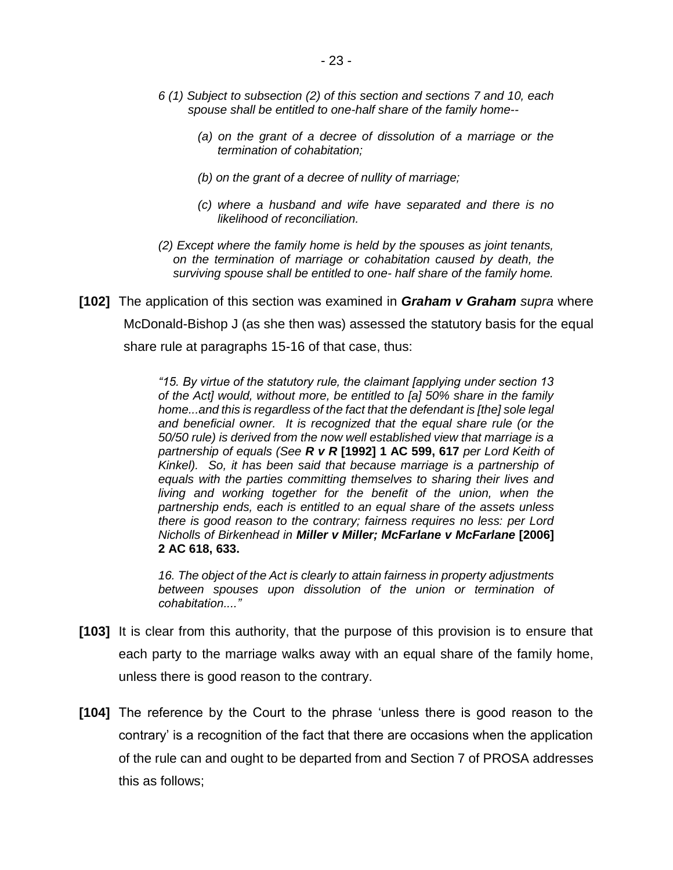- *6 (1) Subject to subsection (2) of this section and sections 7 and 10, each spouse shall be entitled to one-half share of the family home--*
	- *(a) on the grant of a decree of dissolution of a marriage or the termination of cohabitation;*
	- *(b) on the grant of a decree of nullity of marriage;*
	- *(c) where a husband and wife have separated and there is no likelihood of reconciliation.*
- *(2) Except where the family home is held by the spouses as joint tenants, on the termination of marriage or cohabitation caused by death, the surviving spouse shall be entitled to one- half share of the family home.*
- **[102]** The application of this section was examined in *Graham v Graham supra* where McDonald-Bishop J (as she then was) assessed the statutory basis for the equal share rule at paragraphs 15-16 of that case, thus:

*"15. By virtue of the statutory rule, the claimant [applying under section 13 of the Act] would, without more, be entitled to [a] 50% share in the family home...and this is regardless of the fact that the defendant is [the] sole legal and beneficial owner. It is recognized that the equal share rule (or the 50/50 rule) is derived from the now well established view that marriage is a partnership of equals (See R v R* **[1992] 1 AC 599, 617** *per Lord Keith of Kinkel). So, it has been said that because marriage is a partnership of equals with the parties committing themselves to sharing their lives and living and working together for the benefit of the union, when the partnership ends, each is entitled to an equal share of the assets unless there is good reason to the contrary; fairness requires no less: per Lord Nicholls of Birkenhead in Miller v Miller; McFarlane v McFarlane* **[2006] 2 AC 618, 633.**

*16. The object of the Act is clearly to attain fairness in property adjustments between spouses upon dissolution of the union or termination of cohabitation...."* 

- **[103]** It is clear from this authority, that the purpose of this provision is to ensure that each party to the marriage walks away with an equal share of the family home, unless there is good reason to the contrary.
- **[104]** The reference by the Court to the phrase 'unless there is good reason to the contrary' is a recognition of the fact that there are occasions when the application of the rule can and ought to be departed from and Section 7 of PROSA addresses this as follows;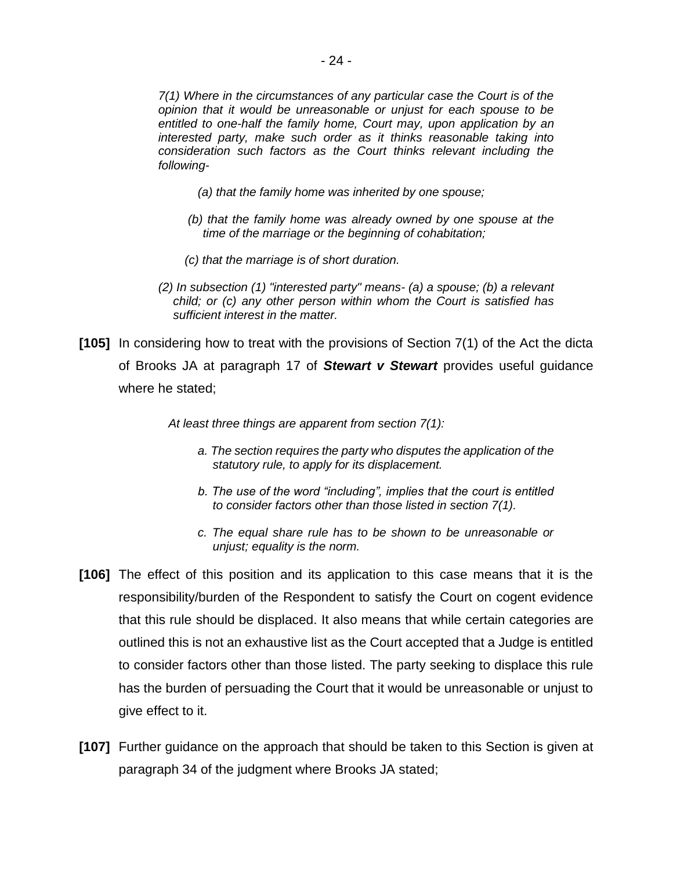*7(1) Where in the circumstances of any particular case the Court is of the opinion that it would be unreasonable or unjust for each spouse to be entitled to one-half the family home, Court may, upon application by an interested party, make such order as it thinks reasonable taking into consideration such factors as the Court thinks relevant including the following-*

- *(a) that the family home was inherited by one spouse;*
- *(b) that the family home was already owned by one spouse at the time of the marriage or the beginning of cohabitation;*
- *(c) that the marriage is of short duration.*
- *(2) In subsection (1) "interested party" means- (a) a spouse; (b) a relevant child; or (c) any other person within whom the Court is satisfied has sufficient interest in the matter.*
- **[105]** In considering how to treat with the provisions of Section 7(1) of the Act the dicta of Brooks JA at paragraph 17 of *Stewart v Stewart* provides useful guidance where he stated;

 *At least three things are apparent from section 7(1):* 

- *a. The section requires the party who disputes the application of the statutory rule, to apply for its displacement.*
- *b. The use of the word "including", implies that the court is entitled to consider factors other than those listed in section 7(1).*
- *c. The equal share rule has to be shown to be unreasonable or unjust; equality is the norm.*
- **[106]** The effect of this position and its application to this case means that it is the responsibility/burden of the Respondent to satisfy the Court on cogent evidence that this rule should be displaced. It also means that while certain categories are outlined this is not an exhaustive list as the Court accepted that a Judge is entitled to consider factors other than those listed. The party seeking to displace this rule has the burden of persuading the Court that it would be unreasonable or unjust to give effect to it.
- **[107]** Further guidance on the approach that should be taken to this Section is given at paragraph 34 of the judgment where Brooks JA stated;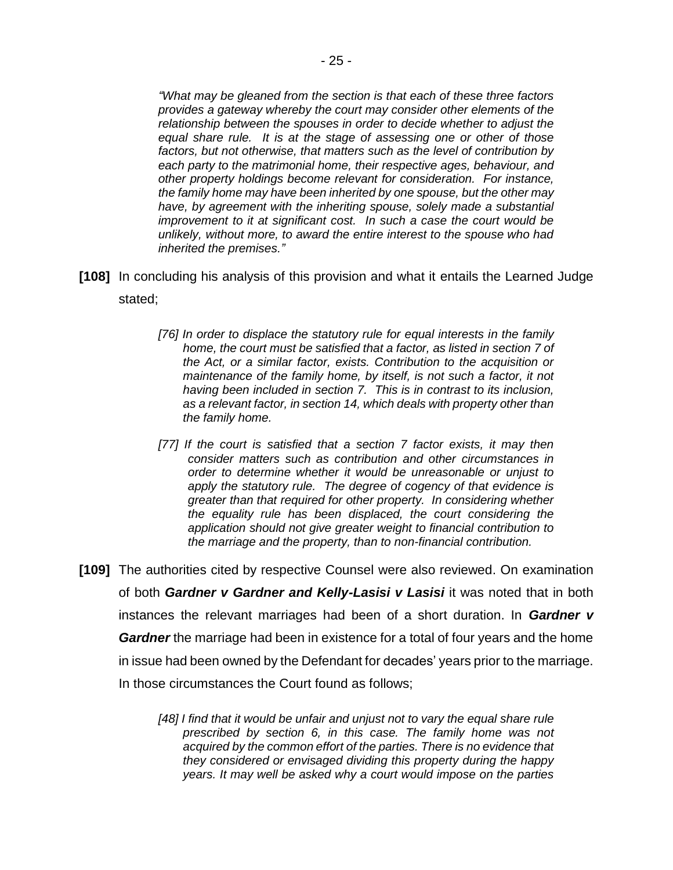*"What may be gleaned from the section is that each of these three factors provides a gateway whereby the court may consider other elements of the relationship between the spouses in order to decide whether to adjust the equal share rule. It is at the stage of assessing one or other of those factors, but not otherwise, that matters such as the level of contribution by each party to the matrimonial home, their respective ages, behaviour, and other property holdings become relevant for consideration. For instance, the family home may have been inherited by one spouse, but the other may have, by agreement with the inheriting spouse, solely made a substantial improvement to it at significant cost. In such a case the court would be unlikely, without more, to award the entire interest to the spouse who had inherited the premises."*

- **[108]** In concluding his analysis of this provision and what it entails the Learned Judge stated;
	- [76] In order to displace the statutory rule for equal interests in the family *home, the court must be satisfied that a factor, as listed in section 7 of the Act, or a similar factor, exists. Contribution to the acquisition or maintenance of the family home, by itself, is not such a factor, it not having been included in section 7. This is in contrast to its inclusion, as a relevant factor, in section 14, which deals with property other than the family home.*
	- [77] If the court is satisfied that a section 7 factor exists, it may then *consider matters such as contribution and other circumstances in order to determine whether it would be unreasonable or unjust to apply the statutory rule. The degree of cogency of that evidence is greater than that required for other property. In considering whether the equality rule has been displaced, the court considering the application should not give greater weight to financial contribution to the marriage and the property, than to non-financial contribution.*
- **[109]** The authorities cited by respective Counsel were also reviewed. On examination of both *Gardner v Gardner and Kelly-Lasisi v Lasisi* it was noted that in both instances the relevant marriages had been of a short duration. In *Gardner v Gardner* the marriage had been in existence for a total of four years and the home in issue had been owned by the Defendant for decades' years prior to the marriage. In those circumstances the Court found as follows;

*[48] I find that it would be unfair and unjust not to vary the equal share rule prescribed by section 6, in this case. The family home was not acquired by the common effort of the parties. There is no evidence that they considered or envisaged dividing this property during the happy years. It may well be asked why a court would impose on the parties*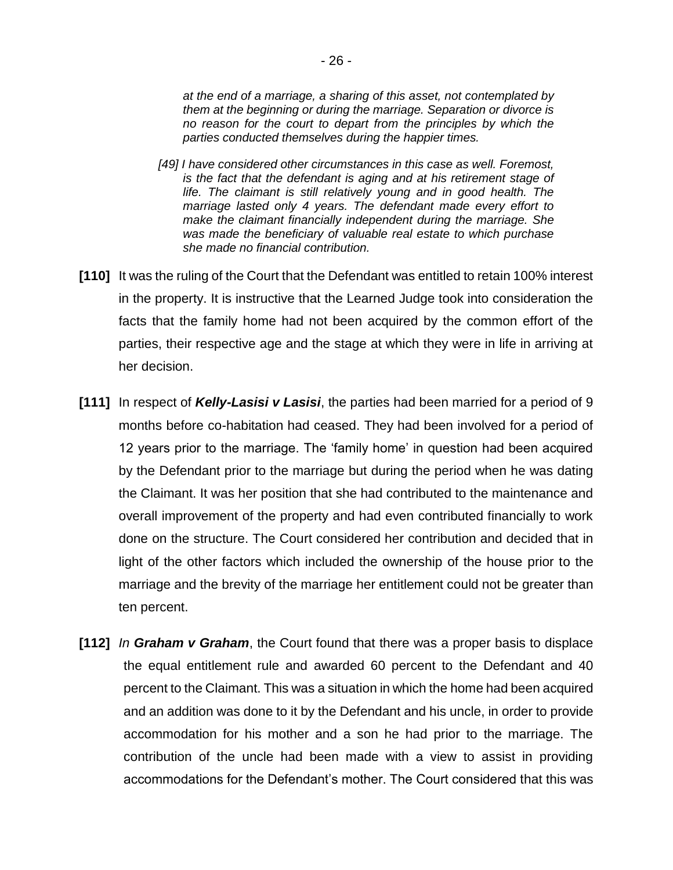*at the end of a marriage, a sharing of this asset, not contemplated by them at the beginning or during the marriage. Separation or divorce is no reason for the court to depart from the principles by which the parties conducted themselves during the happier times.* 

- *[49] I have considered other circumstances in this case as well. Foremost, is the fact that the defendant is aging and at his retirement stage of life. The claimant is still relatively young and in good health. The marriage lasted only 4 years. The defendant made every effort to make the claimant financially independent during the marriage. She was made the beneficiary of valuable real estate to which purchase she made no financial contribution.*
- **[110]** It was the ruling of the Court that the Defendant was entitled to retain 100% interest in the property. It is instructive that the Learned Judge took into consideration the facts that the family home had not been acquired by the common effort of the parties, their respective age and the stage at which they were in life in arriving at her decision.
- **[111]** In respect of *Kelly-Lasisi v Lasisi*, the parties had been married for a period of 9 months before co-habitation had ceased. They had been involved for a period of 12 years prior to the marriage. The 'family home' in question had been acquired by the Defendant prior to the marriage but during the period when he was dating the Claimant. It was her position that she had contributed to the maintenance and overall improvement of the property and had even contributed financially to work done on the structure. The Court considered her contribution and decided that in light of the other factors which included the ownership of the house prior to the marriage and the brevity of the marriage her entitlement could not be greater than ten percent.
- **[112]** *In Graham v Graham*, the Court found that there was a proper basis to displace the equal entitlement rule and awarded 60 percent to the Defendant and 40 percent to the Claimant. This was a situation in which the home had been acquired and an addition was done to it by the Defendant and his uncle, in order to provide accommodation for his mother and a son he had prior to the marriage. The contribution of the uncle had been made with a view to assist in providing accommodations for the Defendant's mother. The Court considered that this was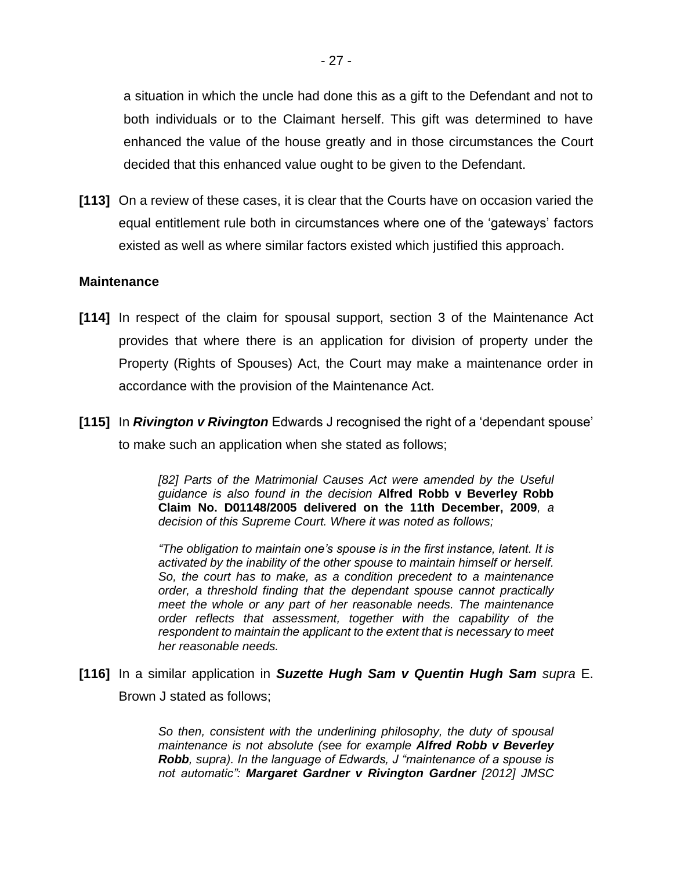a situation in which the uncle had done this as a gift to the Defendant and not to both individuals or to the Claimant herself. This gift was determined to have enhanced the value of the house greatly and in those circumstances the Court decided that this enhanced value ought to be given to the Defendant.

**[113]** On a review of these cases, it is clear that the Courts have on occasion varied the equal entitlement rule both in circumstances where one of the 'gateways' factors existed as well as where similar factors existed which justified this approach.

#### **Maintenance**

- **[114]** In respect of the claim for spousal support, section 3 of the Maintenance Act provides that where there is an application for division of property under the Property (Rights of Spouses) Act, the Court may make a maintenance order in accordance with the provision of the Maintenance Act.
- **[115]** In *Rivington v Rivington* Edwards J recognised the right of a 'dependant spouse' to make such an application when she stated as follows;

*[82] Parts of the Matrimonial Causes Act were amended by the Useful guidance is also found in the decision* **Alfred Robb v Beverley Robb Claim No. D01148/2005 delivered on the 11th December, 2009***, a decision of this Supreme Court. Where it was noted as follows;*

*"The obligation to maintain one's spouse is in the first instance, latent. It is activated by the inability of the other spouse to maintain himself or herself. So, the court has to make, as a condition precedent to a maintenance order, a threshold finding that the dependant spouse cannot practically meet the whole or any part of her reasonable needs. The maintenance order reflects that assessment, together with the capability of the respondent to maintain the applicant to the extent that is necessary to meet her reasonable needs.*

**[116]** In a similar application in *Suzette Hugh Sam v Quentin Hugh Sam supra* E. Brown J stated as follows;

> *So then, consistent with the underlining philosophy, the duty of spousal maintenance is not absolute (see for example Alfred Robb v Beverley Robb, supra). In the language of Edwards, J "maintenance of a spouse is not automatic": Margaret Gardner v Rivington Gardner [2012] JMSC*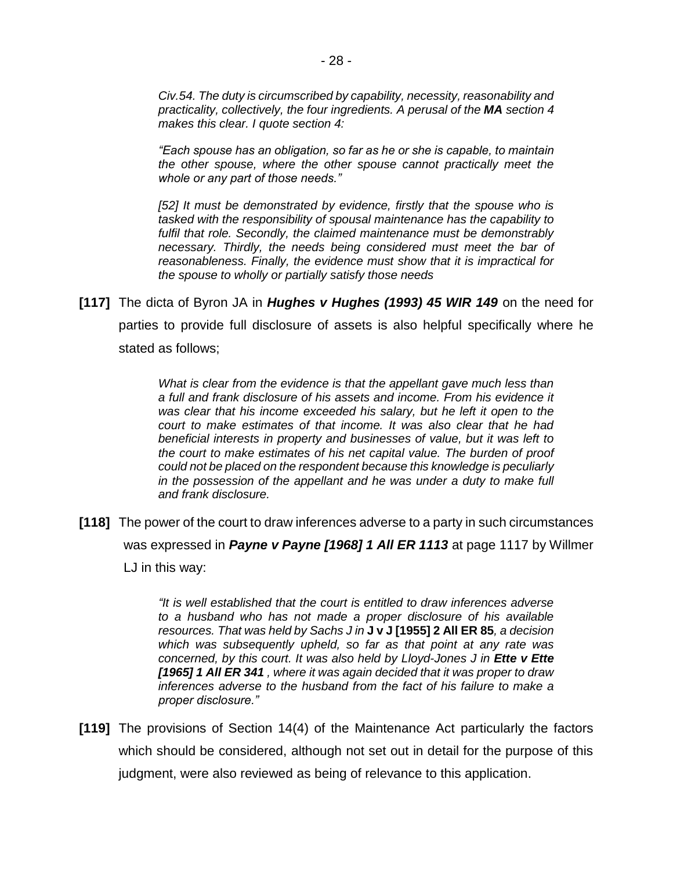*Civ.54. The duty is circumscribed by capability, necessity, reasonability and practicality, collectively, the four ingredients. A perusal of the MA section 4 makes this clear. I quote section 4:* 

*"Each spouse has an obligation, so far as he or she is capable, to maintain the other spouse, where the other spouse cannot practically meet the whole or any part of those needs."* 

*[52] It must be demonstrated by evidence, firstly that the spouse who is tasked with the responsibility of spousal maintenance has the capability to fulfil that role. Secondly, the claimed maintenance must be demonstrably necessary. Thirdly, the needs being considered must meet the bar of reasonableness. Finally, the evidence must show that it is impractical for the spouse to wholly or partially satisfy those needs*

**[117]** The dicta of Byron JA in *Hughes v Hughes (1993) 45 WIR 149* on the need for parties to provide full disclosure of assets is also helpful specifically where he stated as follows;

> *What is clear from the evidence is that the appellant gave much less than a full and frank disclosure of his assets and income. From his evidence it was clear that his income exceeded his salary, but he left it open to the court to make estimates of that income. It was also clear that he had beneficial interests in property and businesses of value, but it was left to the court to make estimates of his net capital value. The burden of proof could not be placed on the respondent because this knowledge is peculiarly in the possession of the appellant and he was under a duty to make full and frank disclosure.*

**[118]** The power of the court to draw inferences adverse to a party in such circumstances was expressed in *Payne v Payne [1968] 1 All ER 1113* at page 1117 by Willmer LJ in this way:

> *"It is well established that the court is entitled to draw inferences adverse to a husband who has not made a proper disclosure of his available resources. That was held by Sachs J in* **J v J [1955] 2 All ER 85***, a decision which was subsequently upheld, so far as that point at any rate was concerned, by this court. It was also held by Lloyd-Jones J in Ette v Ette [1965] 1 All ER 341 , where it was again decided that it was proper to draw inferences adverse to the husband from the fact of his failure to make a proper disclosure."*

**[119]** The provisions of Section 14(4) of the Maintenance Act particularly the factors which should be considered, although not set out in detail for the purpose of this judgment, were also reviewed as being of relevance to this application.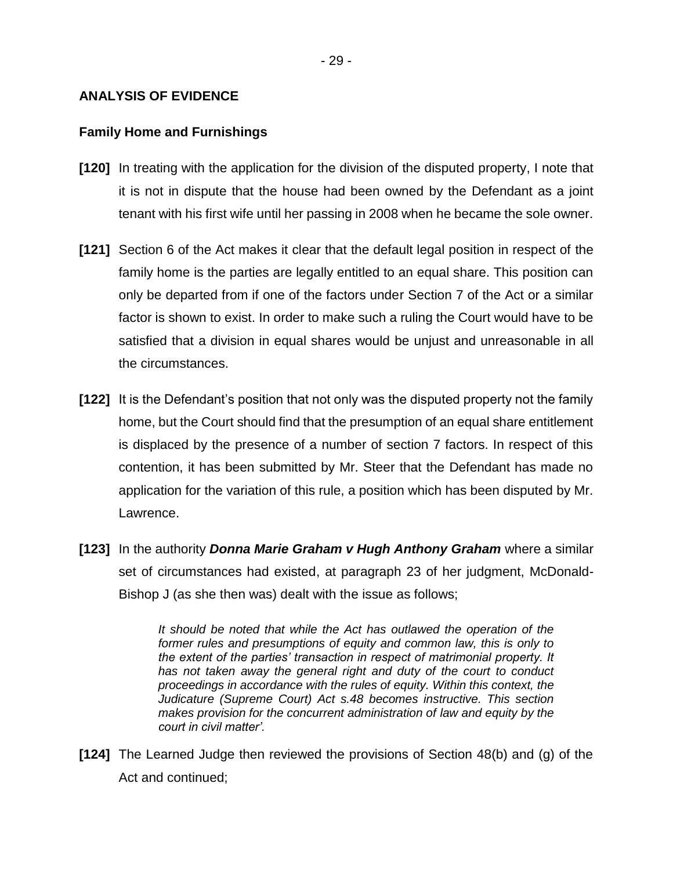## **ANALYSIS OF EVIDENCE**

#### **Family Home and Furnishings**

- **[120]** In treating with the application for the division of the disputed property, I note that it is not in dispute that the house had been owned by the Defendant as a joint tenant with his first wife until her passing in 2008 when he became the sole owner.
- **[121]** Section 6 of the Act makes it clear that the default legal position in respect of the family home is the parties are legally entitled to an equal share. This position can only be departed from if one of the factors under Section 7 of the Act or a similar factor is shown to exist. In order to make such a ruling the Court would have to be satisfied that a division in equal shares would be unjust and unreasonable in all the circumstances.
- **[122]** It is the Defendant's position that not only was the disputed property not the family home, but the Court should find that the presumption of an equal share entitlement is displaced by the presence of a number of section 7 factors. In respect of this contention, it has been submitted by Mr. Steer that the Defendant has made no application for the variation of this rule, a position which has been disputed by Mr. Lawrence.
- **[123]** In the authority *Donna Marie Graham v Hugh Anthony Graham* where a similar set of circumstances had existed, at paragraph 23 of her judgment, McDonald-Bishop J (as she then was) dealt with the issue as follows;

*It should be noted that while the Act has outlawed the operation of the former rules and presumptions of equity and common law, this is only to the extent of the parties' transaction in respect of matrimonial property. It has not taken away the general right and duty of the court to conduct proceedings in accordance with the rules of equity. Within this context, the Judicature (Supreme Court) Act s.48 becomes instructive. This section makes provision for the concurrent administration of law and equity by the court in civil matter'.*

**[124]** The Learned Judge then reviewed the provisions of Section 48(b) and (g) of the Act and continued;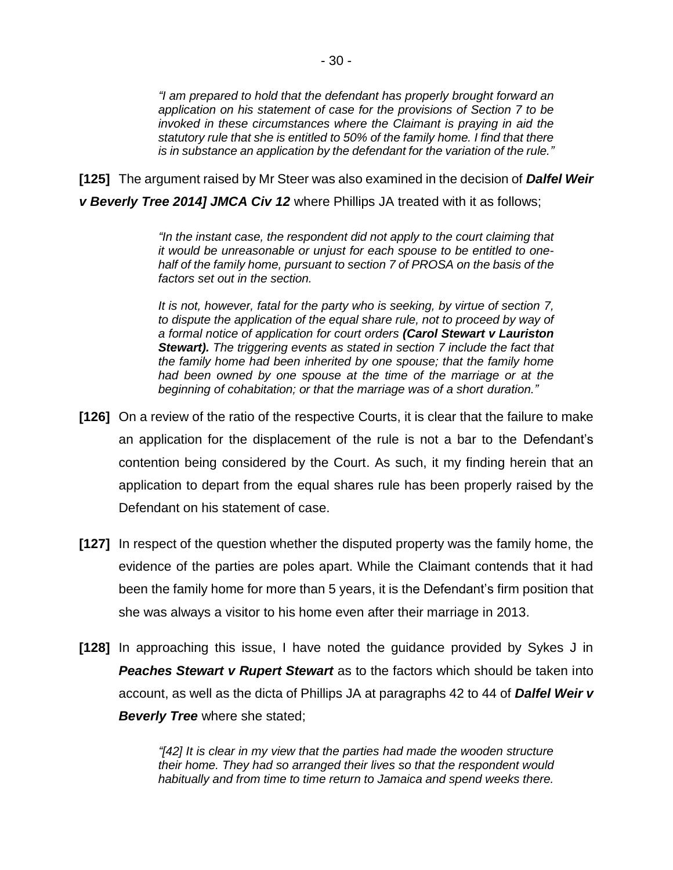*"I am prepared to hold that the defendant has properly brought forward an application on his statement of case for the provisions of Section 7 to be invoked in these circumstances where the Claimant is praying in aid the statutory rule that she is entitled to 50% of the family home. I find that there is in substance an application by the defendant for the variation of the rule."*

**[125]** The argument raised by Mr Steer was also examined in the decision of *Dalfel Weir v Beverly Tree 2014] JMCA Civ 12* where Phillips JA treated with it as follows;

> *"In the instant case, the respondent did not apply to the court claiming that it would be unreasonable or unjust for each spouse to be entitled to onehalf of the family home, pursuant to section 7 of PROSA on the basis of the factors set out in the section.*

> *It is not, however, fatal for the party who is seeking, by virtue of section 7,*  to dispute the application of the equal share rule, not to proceed by way of *a formal notice of application for court orders (Carol Stewart v Lauriston Stewart). The triggering events as stated in section 7 include the fact that the family home had been inherited by one spouse; that the family home had been owned by one spouse at the time of the marriage or at the beginning of cohabitation; or that the marriage was of a short duration."*

- **[126]** On a review of the ratio of the respective Courts, it is clear that the failure to make an application for the displacement of the rule is not a bar to the Defendant's contention being considered by the Court. As such, it my finding herein that an application to depart from the equal shares rule has been properly raised by the Defendant on his statement of case.
- **[127]** In respect of the question whether the disputed property was the family home, the evidence of the parties are poles apart. While the Claimant contends that it had been the family home for more than 5 years, it is the Defendant's firm position that she was always a visitor to his home even after their marriage in 2013.
- **[128]** In approaching this issue, I have noted the guidance provided by Sykes J in *Peaches Stewart v Rupert Stewart* as to the factors which should be taken into account, as well as the dicta of Phillips JA at paragraphs 42 to 44 of *Dalfel Weir v Beverly Tree* where she stated;

*"[42] It is clear in my view that the parties had made the wooden structure their home. They had so arranged their lives so that the respondent would habitually and from time to time return to Jamaica and spend weeks there.*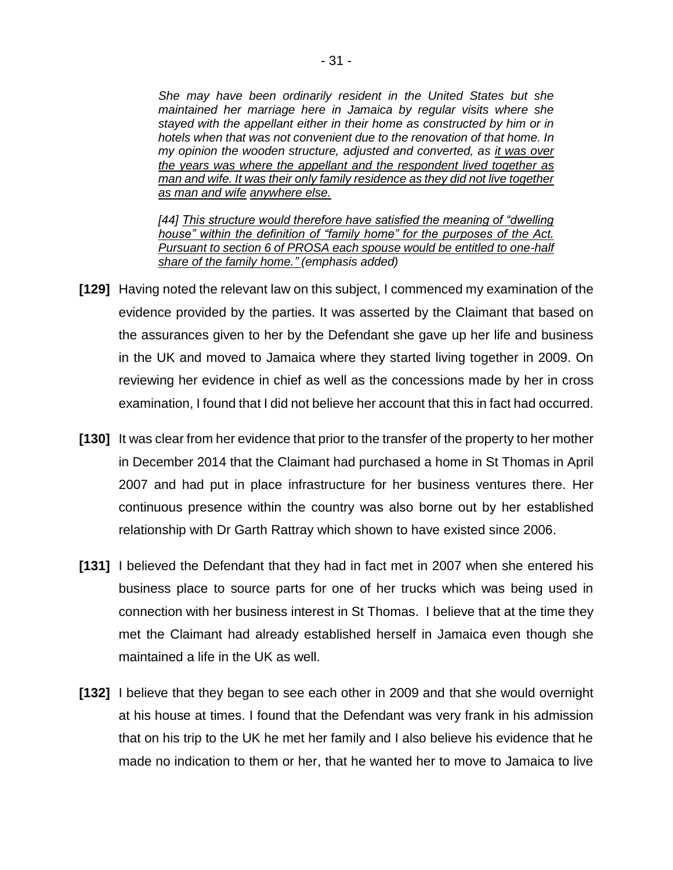*She may have been ordinarily resident in the United States but she maintained her marriage here in Jamaica by regular visits where she stayed with the appellant either in their home as constructed by him or in hotels when that was not convenient due to the renovation of that home. In my opinion the wooden structure, adjusted and converted, as it was over the years was where the appellant and the respondent lived together as man and wife. It was their only family residence as they did not live together as man and wife anywhere else.*

*[44] This structure would therefore have satisfied the meaning of "dwelling house" within the definition of "family home" for the purposes of the Act. Pursuant to section 6 of PROSA each spouse would be entitled to one-half share of the family home." (emphasis added)*

- **[129]** Having noted the relevant law on this subject, I commenced my examination of the evidence provided by the parties. It was asserted by the Claimant that based on the assurances given to her by the Defendant she gave up her life and business in the UK and moved to Jamaica where they started living together in 2009. On reviewing her evidence in chief as well as the concessions made by her in cross examination, I found that I did not believe her account that this in fact had occurred.
- **[130]** It was clear from her evidence that prior to the transfer of the property to her mother in December 2014 that the Claimant had purchased a home in St Thomas in April 2007 and had put in place infrastructure for her business ventures there. Her continuous presence within the country was also borne out by her established relationship with Dr Garth Rattray which shown to have existed since 2006.
- **[131]** I believed the Defendant that they had in fact met in 2007 when she entered his business place to source parts for one of her trucks which was being used in connection with her business interest in St Thomas. I believe that at the time they met the Claimant had already established herself in Jamaica even though she maintained a life in the UK as well.
- **[132]** I believe that they began to see each other in 2009 and that she would overnight at his house at times. I found that the Defendant was very frank in his admission that on his trip to the UK he met her family and I also believe his evidence that he made no indication to them or her, that he wanted her to move to Jamaica to live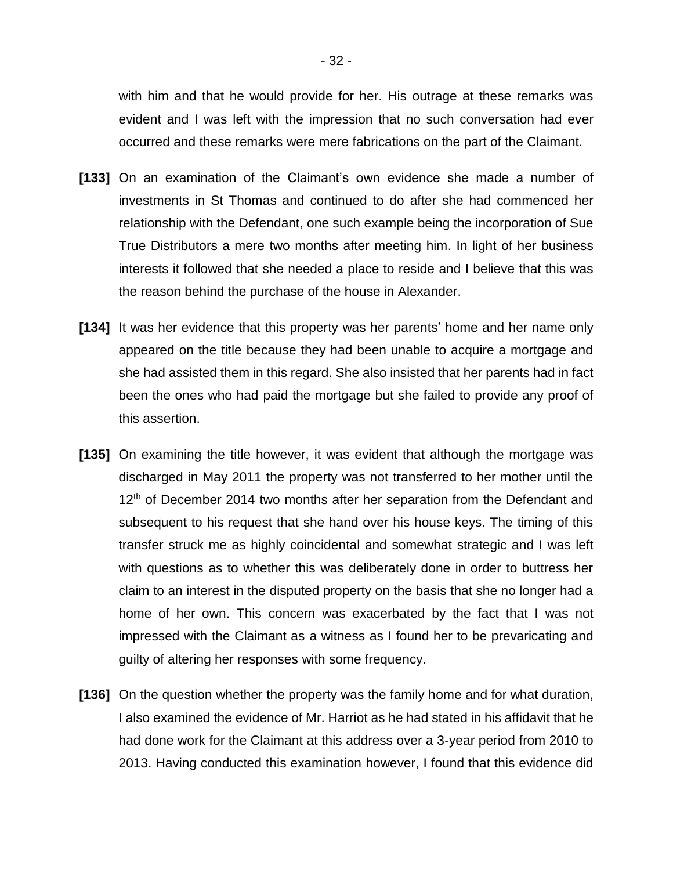with him and that he would provide for her. His outrage at these remarks was evident and I was left with the impression that no such conversation had ever occurred and these remarks were mere fabrications on the part of the Claimant.

- **[133]** On an examination of the Claimant's own evidence she made a number of investments in St Thomas and continued to do after she had commenced her relationship with the Defendant, one such example being the incorporation of Sue True Distributors a mere two months after meeting him. In light of her business interests it followed that she needed a place to reside and I believe that this was the reason behind the purchase of the house in Alexander.
- **[134]** It was her evidence that this property was her parents' home and her name only appeared on the title because they had been unable to acquire a mortgage and she had assisted them in this regard. She also insisted that her parents had in fact been the ones who had paid the mortgage but she failed to provide any proof of this assertion.
- **[135]** On examining the title however, it was evident that although the mortgage was discharged in May 2011 the property was not transferred to her mother until the 12<sup>th</sup> of December 2014 two months after her separation from the Defendant and subsequent to his request that she hand over his house keys. The timing of this transfer struck me as highly coincidental and somewhat strategic and I was left with questions as to whether this was deliberately done in order to buttress her claim to an interest in the disputed property on the basis that she no longer had a home of her own. This concern was exacerbated by the fact that I was not impressed with the Claimant as a witness as I found her to be prevaricating and guilty of altering her responses with some frequency.
- **[136]** On the question whether the property was the family home and for what duration, I also examined the evidence of Mr. Harriot as he had stated in his affidavit that he had done work for the Claimant at this address over a 3-year period from 2010 to 2013. Having conducted this examination however, I found that this evidence did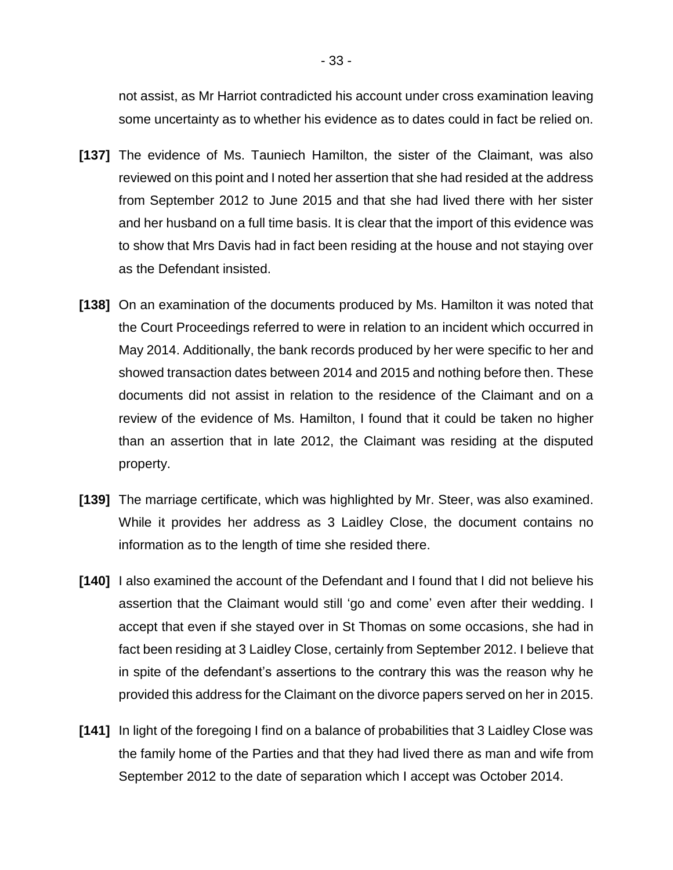not assist, as Mr Harriot contradicted his account under cross examination leaving some uncertainty as to whether his evidence as to dates could in fact be relied on.

- **[137]** The evidence of Ms. Tauniech Hamilton, the sister of the Claimant, was also reviewed on this point and I noted her assertion that she had resided at the address from September 2012 to June 2015 and that she had lived there with her sister and her husband on a full time basis. It is clear that the import of this evidence was to show that Mrs Davis had in fact been residing at the house and not staying over as the Defendant insisted.
- **[138]** On an examination of the documents produced by Ms. Hamilton it was noted that the Court Proceedings referred to were in relation to an incident which occurred in May 2014. Additionally, the bank records produced by her were specific to her and showed transaction dates between 2014 and 2015 and nothing before then. These documents did not assist in relation to the residence of the Claimant and on a review of the evidence of Ms. Hamilton, I found that it could be taken no higher than an assertion that in late 2012, the Claimant was residing at the disputed property.
- **[139]** The marriage certificate, which was highlighted by Mr. Steer, was also examined. While it provides her address as 3 Laidley Close, the document contains no information as to the length of time she resided there.
- **[140]** I also examined the account of the Defendant and I found that I did not believe his assertion that the Claimant would still 'go and come' even after their wedding. I accept that even if she stayed over in St Thomas on some occasions, she had in fact been residing at 3 Laidley Close, certainly from September 2012. I believe that in spite of the defendant's assertions to the contrary this was the reason why he provided this address for the Claimant on the divorce papers served on her in 2015.
- **[141]** In light of the foregoing I find on a balance of probabilities that 3 Laidley Close was the family home of the Parties and that they had lived there as man and wife from September 2012 to the date of separation which I accept was October 2014.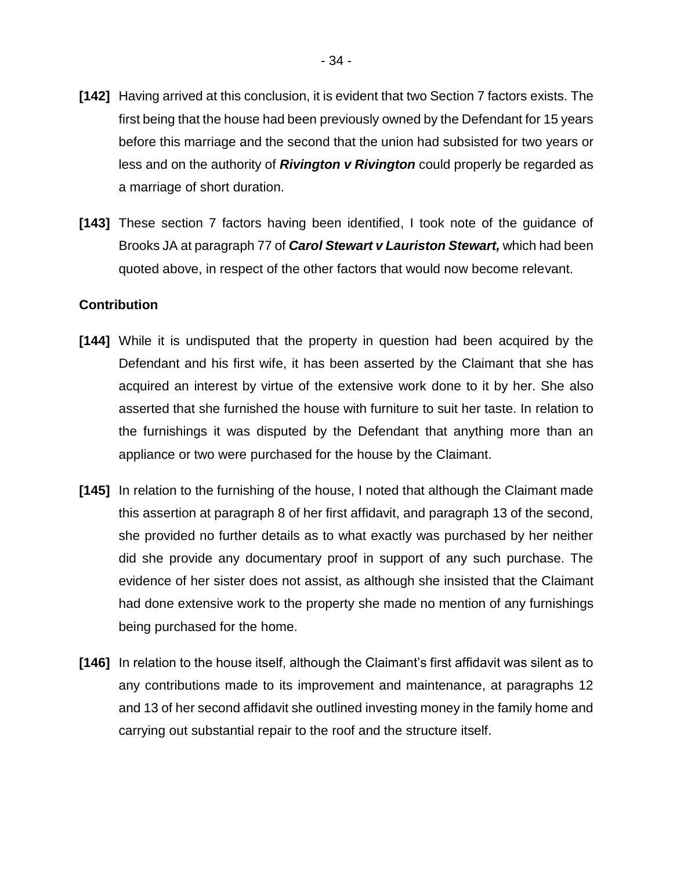- **[142]** Having arrived at this conclusion, it is evident that two Section 7 factors exists. The first being that the house had been previously owned by the Defendant for 15 years before this marriage and the second that the union had subsisted for two years or less and on the authority of *Rivington v Rivington* could properly be regarded as a marriage of short duration.
- **[143]** These section 7 factors having been identified, I took note of the guidance of Brooks JA at paragraph 77 of *Carol Stewart v Lauriston Stewart,* which had been quoted above, in respect of the other factors that would now become relevant.

## **Contribution**

- **[144]** While it is undisputed that the property in question had been acquired by the Defendant and his first wife, it has been asserted by the Claimant that she has acquired an interest by virtue of the extensive work done to it by her. She also asserted that she furnished the house with furniture to suit her taste. In relation to the furnishings it was disputed by the Defendant that anything more than an appliance or two were purchased for the house by the Claimant.
- **[145]** In relation to the furnishing of the house, I noted that although the Claimant made this assertion at paragraph 8 of her first affidavit, and paragraph 13 of the second, she provided no further details as to what exactly was purchased by her neither did she provide any documentary proof in support of any such purchase. The evidence of her sister does not assist, as although she insisted that the Claimant had done extensive work to the property she made no mention of any furnishings being purchased for the home.
- **[146]** In relation to the house itself, although the Claimant's first affidavit was silent as to any contributions made to its improvement and maintenance, at paragraphs 12 and 13 of her second affidavit she outlined investing money in the family home and carrying out substantial repair to the roof and the structure itself.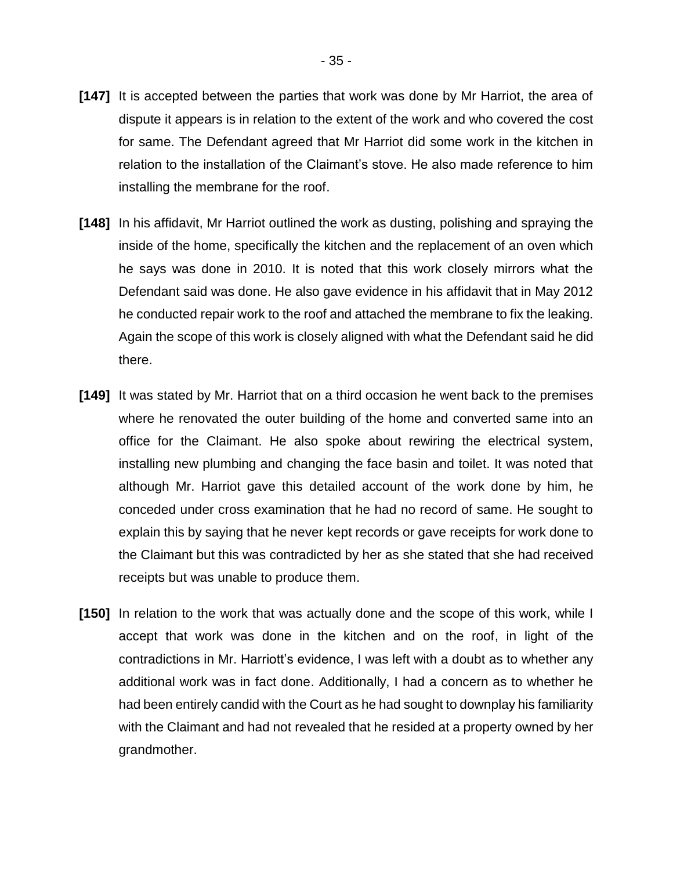- **[147]** It is accepted between the parties that work was done by Mr Harriot, the area of dispute it appears is in relation to the extent of the work and who covered the cost for same. The Defendant agreed that Mr Harriot did some work in the kitchen in relation to the installation of the Claimant's stove. He also made reference to him installing the membrane for the roof.
- **[148]** In his affidavit, Mr Harriot outlined the work as dusting, polishing and spraying the inside of the home, specifically the kitchen and the replacement of an oven which he says was done in 2010. It is noted that this work closely mirrors what the Defendant said was done. He also gave evidence in his affidavit that in May 2012 he conducted repair work to the roof and attached the membrane to fix the leaking. Again the scope of this work is closely aligned with what the Defendant said he did there.
- **[149]** It was stated by Mr. Harriot that on a third occasion he went back to the premises where he renovated the outer building of the home and converted same into an office for the Claimant. He also spoke about rewiring the electrical system, installing new plumbing and changing the face basin and toilet. It was noted that although Mr. Harriot gave this detailed account of the work done by him, he conceded under cross examination that he had no record of same. He sought to explain this by saying that he never kept records or gave receipts for work done to the Claimant but this was contradicted by her as she stated that she had received receipts but was unable to produce them.
- **[150]** In relation to the work that was actually done and the scope of this work, while I accept that work was done in the kitchen and on the roof, in light of the contradictions in Mr. Harriott's evidence, I was left with a doubt as to whether any additional work was in fact done. Additionally, I had a concern as to whether he had been entirely candid with the Court as he had sought to downplay his familiarity with the Claimant and had not revealed that he resided at a property owned by her grandmother.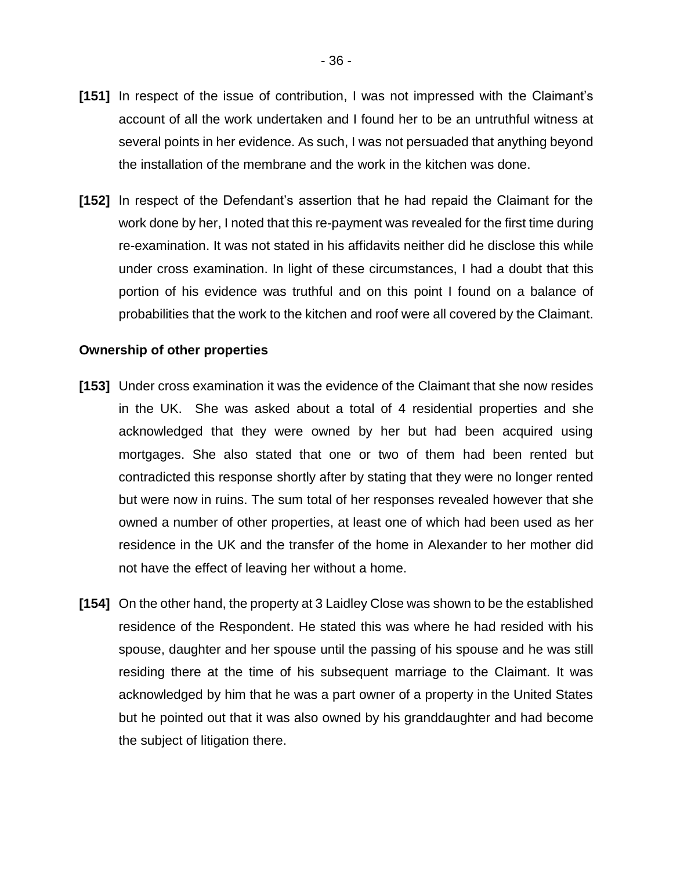- **[151]** In respect of the issue of contribution, I was not impressed with the Claimant's account of all the work undertaken and I found her to be an untruthful witness at several points in her evidence. As such, I was not persuaded that anything beyond the installation of the membrane and the work in the kitchen was done.
- **[152]** In respect of the Defendant's assertion that he had repaid the Claimant for the work done by her, I noted that this re-payment was revealed for the first time during re-examination. It was not stated in his affidavits neither did he disclose this while under cross examination. In light of these circumstances, I had a doubt that this portion of his evidence was truthful and on this point I found on a balance of probabilities that the work to the kitchen and roof were all covered by the Claimant.

#### **Ownership of other properties**

- **[153]** Under cross examination it was the evidence of the Claimant that she now resides in the UK. She was asked about a total of 4 residential properties and she acknowledged that they were owned by her but had been acquired using mortgages. She also stated that one or two of them had been rented but contradicted this response shortly after by stating that they were no longer rented but were now in ruins. The sum total of her responses revealed however that she owned a number of other properties, at least one of which had been used as her residence in the UK and the transfer of the home in Alexander to her mother did not have the effect of leaving her without a home.
- **[154]** On the other hand, the property at 3 Laidley Close was shown to be the established residence of the Respondent. He stated this was where he had resided with his spouse, daughter and her spouse until the passing of his spouse and he was still residing there at the time of his subsequent marriage to the Claimant. It was acknowledged by him that he was a part owner of a property in the United States but he pointed out that it was also owned by his granddaughter and had become the subject of litigation there.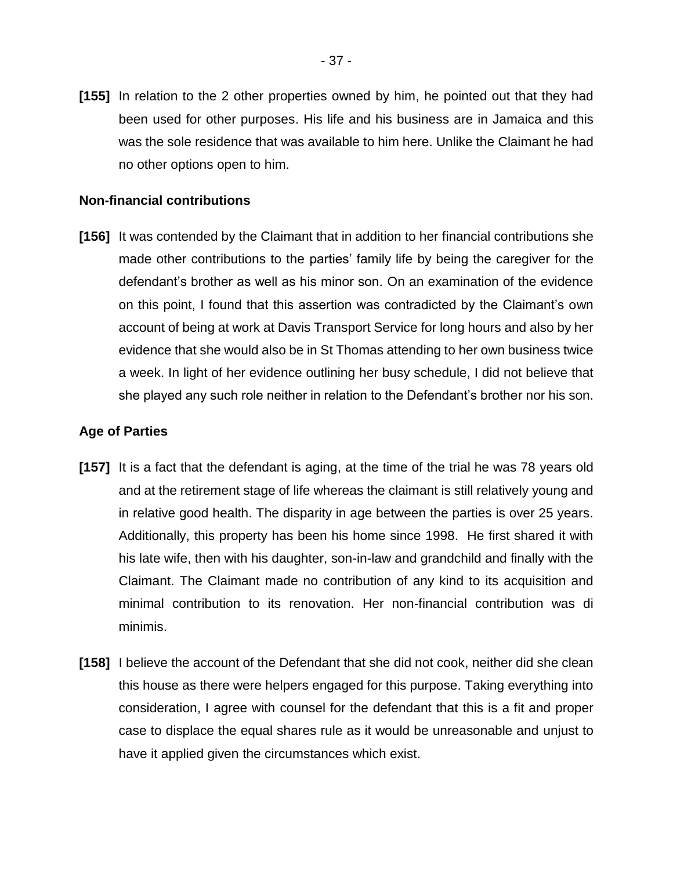**[155]** In relation to the 2 other properties owned by him, he pointed out that they had been used for other purposes. His life and his business are in Jamaica and this was the sole residence that was available to him here. Unlike the Claimant he had no other options open to him.

## **Non-financial contributions**

**[156]** It was contended by the Claimant that in addition to her financial contributions she made other contributions to the parties' family life by being the caregiver for the defendant's brother as well as his minor son. On an examination of the evidence on this point, I found that this assertion was contradicted by the Claimant's own account of being at work at Davis Transport Service for long hours and also by her evidence that she would also be in St Thomas attending to her own business twice a week. In light of her evidence outlining her busy schedule, I did not believe that she played any such role neither in relation to the Defendant's brother nor his son.

## **Age of Parties**

- **[157]** It is a fact that the defendant is aging, at the time of the trial he was 78 years old and at the retirement stage of life whereas the claimant is still relatively young and in relative good health. The disparity in age between the parties is over 25 years. Additionally, this property has been his home since 1998. He first shared it with his late wife, then with his daughter, son-in-law and grandchild and finally with the Claimant. The Claimant made no contribution of any kind to its acquisition and minimal contribution to its renovation. Her non-financial contribution was di minimis.
- **[158]** I believe the account of the Defendant that she did not cook, neither did she clean this house as there were helpers engaged for this purpose. Taking everything into consideration, I agree with counsel for the defendant that this is a fit and proper case to displace the equal shares rule as it would be unreasonable and unjust to have it applied given the circumstances which exist.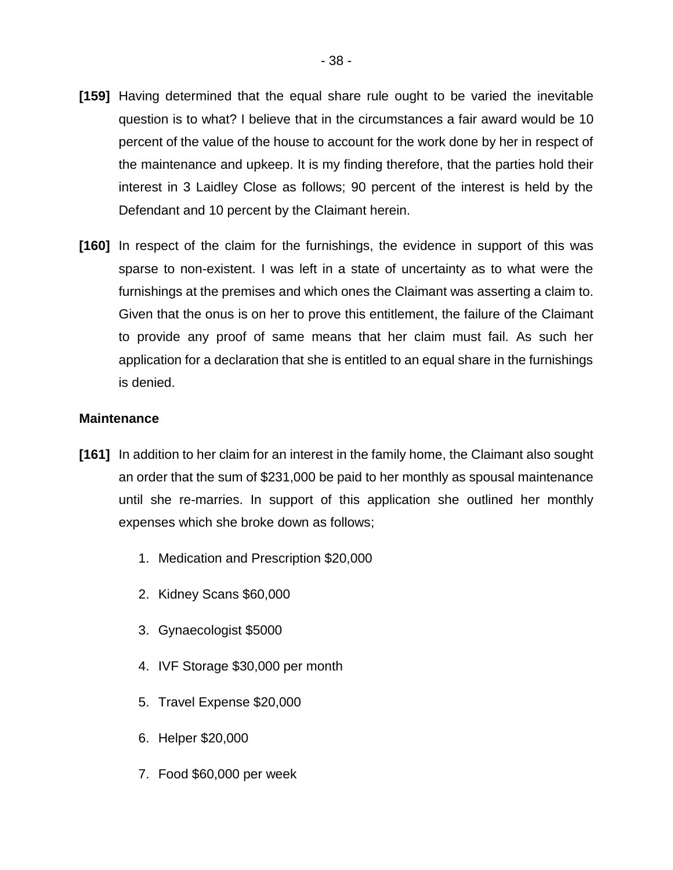- **[159]** Having determined that the equal share rule ought to be varied the inevitable question is to what? I believe that in the circumstances a fair award would be 10 percent of the value of the house to account for the work done by her in respect of the maintenance and upkeep. It is my finding therefore, that the parties hold their interest in 3 Laidley Close as follows; 90 percent of the interest is held by the Defendant and 10 percent by the Claimant herein.
- **[160]** In respect of the claim for the furnishings, the evidence in support of this was sparse to non-existent. I was left in a state of uncertainty as to what were the furnishings at the premises and which ones the Claimant was asserting a claim to. Given that the onus is on her to prove this entitlement, the failure of the Claimant to provide any proof of same means that her claim must fail. As such her application for a declaration that she is entitled to an equal share in the furnishings is denied.

## **Maintenance**

- **[161]** In addition to her claim for an interest in the family home, the Claimant also sought an order that the sum of \$231,000 be paid to her monthly as spousal maintenance until she re-marries. In support of this application she outlined her monthly expenses which she broke down as follows;
	- 1. Medication and Prescription \$20,000
	- 2. Kidney Scans \$60,000
	- 3. Gynaecologist \$5000
	- 4. IVF Storage \$30,000 per month
	- 5. Travel Expense \$20,000
	- 6. Helper \$20,000
	- 7. Food \$60,000 per week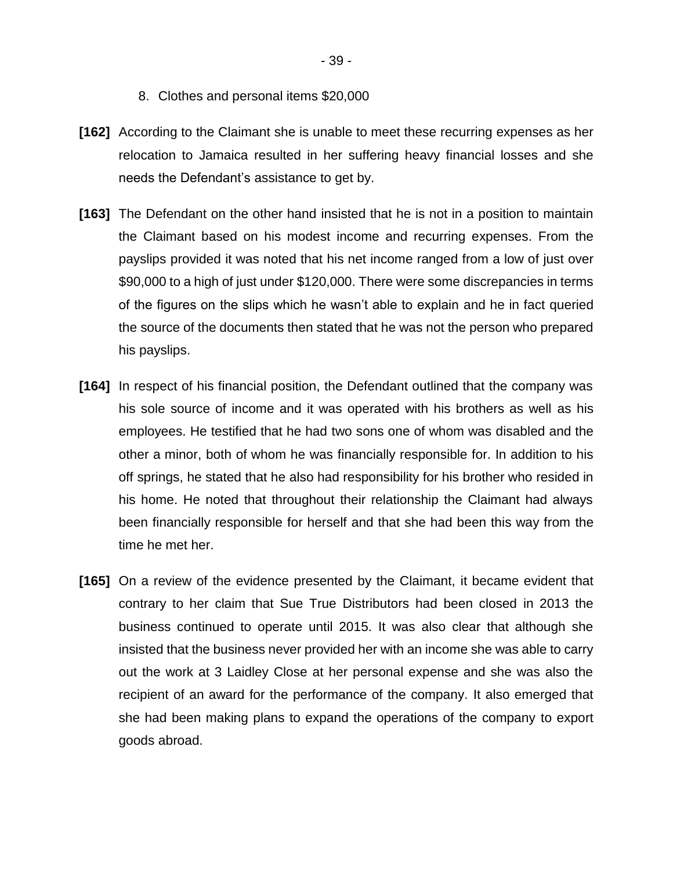- 8. Clothes and personal items \$20,000
- **[162]** According to the Claimant she is unable to meet these recurring expenses as her relocation to Jamaica resulted in her suffering heavy financial losses and she needs the Defendant's assistance to get by.
- **[163]** The Defendant on the other hand insisted that he is not in a position to maintain the Claimant based on his modest income and recurring expenses. From the payslips provided it was noted that his net income ranged from a low of just over \$90,000 to a high of just under \$120,000. There were some discrepancies in terms of the figures on the slips which he wasn't able to explain and he in fact queried the source of the documents then stated that he was not the person who prepared his payslips.
- **[164]** In respect of his financial position, the Defendant outlined that the company was his sole source of income and it was operated with his brothers as well as his employees. He testified that he had two sons one of whom was disabled and the other a minor, both of whom he was financially responsible for. In addition to his off springs, he stated that he also had responsibility for his brother who resided in his home. He noted that throughout their relationship the Claimant had always been financially responsible for herself and that she had been this way from the time he met her.
- **[165]** On a review of the evidence presented by the Claimant, it became evident that contrary to her claim that Sue True Distributors had been closed in 2013 the business continued to operate until 2015. It was also clear that although she insisted that the business never provided her with an income she was able to carry out the work at 3 Laidley Close at her personal expense and she was also the recipient of an award for the performance of the company. It also emerged that she had been making plans to expand the operations of the company to export goods abroad.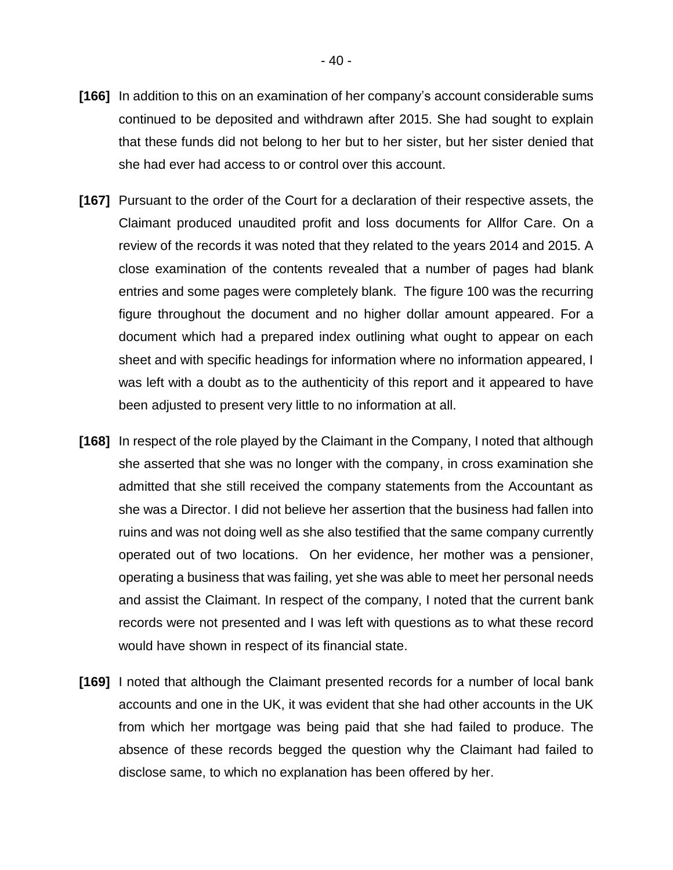- **[166]** In addition to this on an examination of her company's account considerable sums continued to be deposited and withdrawn after 2015. She had sought to explain that these funds did not belong to her but to her sister, but her sister denied that she had ever had access to or control over this account.
- **[167]** Pursuant to the order of the Court for a declaration of their respective assets, the Claimant produced unaudited profit and loss documents for Allfor Care. On a review of the records it was noted that they related to the years 2014 and 2015. A close examination of the contents revealed that a number of pages had blank entries and some pages were completely blank. The figure 100 was the recurring figure throughout the document and no higher dollar amount appeared. For a document which had a prepared index outlining what ought to appear on each sheet and with specific headings for information where no information appeared, I was left with a doubt as to the authenticity of this report and it appeared to have been adjusted to present very little to no information at all.
- **[168]** In respect of the role played by the Claimant in the Company, I noted that although she asserted that she was no longer with the company, in cross examination she admitted that she still received the company statements from the Accountant as she was a Director. I did not believe her assertion that the business had fallen into ruins and was not doing well as she also testified that the same company currently operated out of two locations. On her evidence, her mother was a pensioner, operating a business that was failing, yet she was able to meet her personal needs and assist the Claimant. In respect of the company, I noted that the current bank records were not presented and I was left with questions as to what these record would have shown in respect of its financial state.
- **[169]** I noted that although the Claimant presented records for a number of local bank accounts and one in the UK, it was evident that she had other accounts in the UK from which her mortgage was being paid that she had failed to produce. The absence of these records begged the question why the Claimant had failed to disclose same, to which no explanation has been offered by her.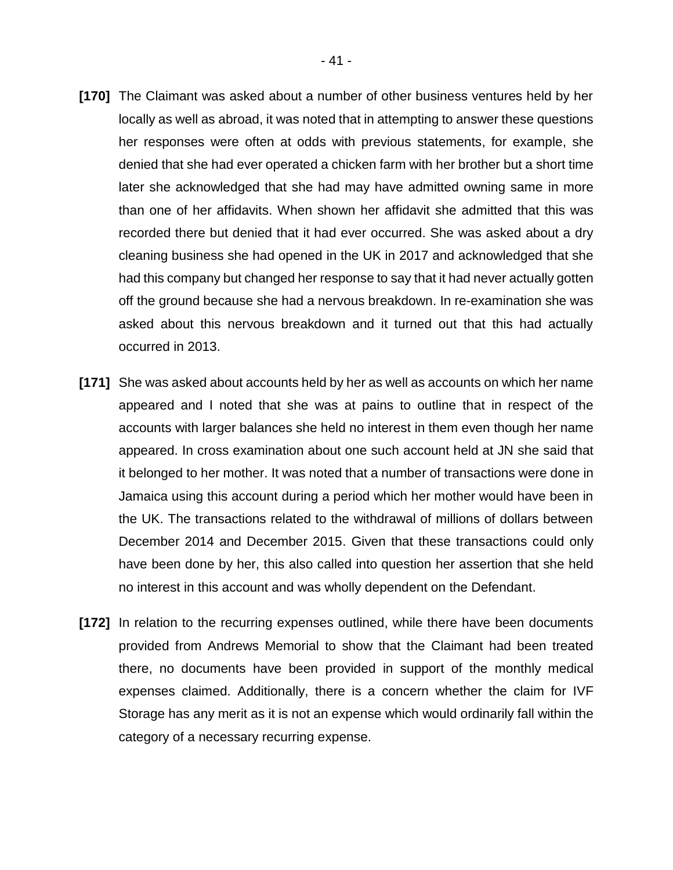- **[170]** The Claimant was asked about a number of other business ventures held by her locally as well as abroad, it was noted that in attempting to answer these questions her responses were often at odds with previous statements, for example, she denied that she had ever operated a chicken farm with her brother but a short time later she acknowledged that she had may have admitted owning same in more than one of her affidavits. When shown her affidavit she admitted that this was recorded there but denied that it had ever occurred. She was asked about a dry cleaning business she had opened in the UK in 2017 and acknowledged that she had this company but changed her response to say that it had never actually gotten off the ground because she had a nervous breakdown. In re-examination she was asked about this nervous breakdown and it turned out that this had actually occurred in 2013.
- **[171]** She was asked about accounts held by her as well as accounts on which her name appeared and I noted that she was at pains to outline that in respect of the accounts with larger balances she held no interest in them even though her name appeared. In cross examination about one such account held at JN she said that it belonged to her mother. It was noted that a number of transactions were done in Jamaica using this account during a period which her mother would have been in the UK. The transactions related to the withdrawal of millions of dollars between December 2014 and December 2015. Given that these transactions could only have been done by her, this also called into question her assertion that she held no interest in this account and was wholly dependent on the Defendant.
- **[172]** In relation to the recurring expenses outlined, while there have been documents provided from Andrews Memorial to show that the Claimant had been treated there, no documents have been provided in support of the monthly medical expenses claimed. Additionally, there is a concern whether the claim for IVF Storage has any merit as it is not an expense which would ordinarily fall within the category of a necessary recurring expense.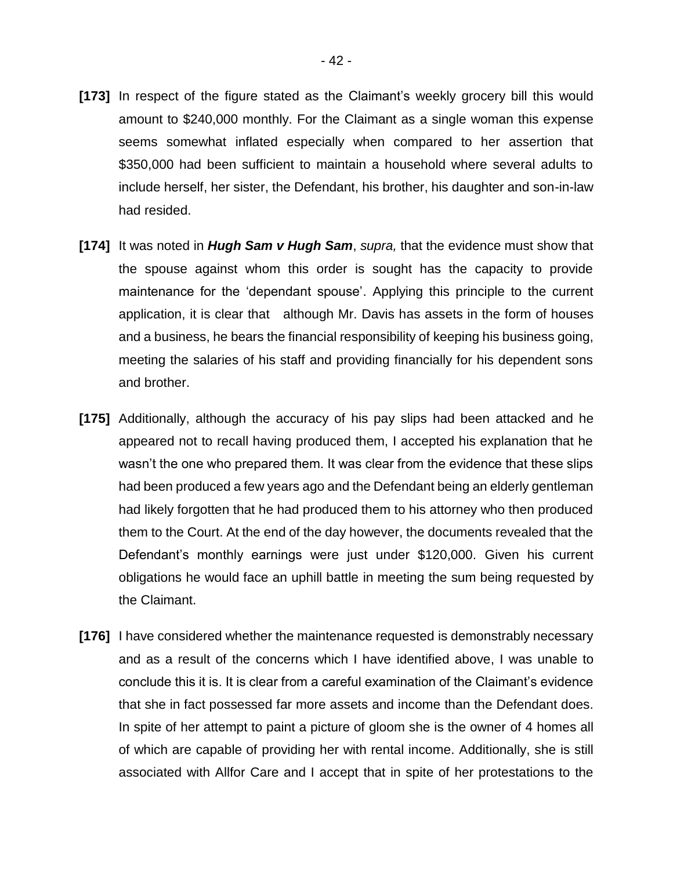- **[173]** In respect of the figure stated as the Claimant's weekly grocery bill this would amount to \$240,000 monthly. For the Claimant as a single woman this expense seems somewhat inflated especially when compared to her assertion that \$350,000 had been sufficient to maintain a household where several adults to include herself, her sister, the Defendant, his brother, his daughter and son-in-law had resided.
- **[174]** It was noted in *Hugh Sam v Hugh Sam*, *supra,* that the evidence must show that the spouse against whom this order is sought has the capacity to provide maintenance for the 'dependant spouse'. Applying this principle to the current application, it is clear that although Mr. Davis has assets in the form of houses and a business, he bears the financial responsibility of keeping his business going, meeting the salaries of his staff and providing financially for his dependent sons and brother.
- **[175]** Additionally, although the accuracy of his pay slips had been attacked and he appeared not to recall having produced them, I accepted his explanation that he wasn't the one who prepared them. It was clear from the evidence that these slips had been produced a few years ago and the Defendant being an elderly gentleman had likely forgotten that he had produced them to his attorney who then produced them to the Court. At the end of the day however, the documents revealed that the Defendant's monthly earnings were just under \$120,000. Given his current obligations he would face an uphill battle in meeting the sum being requested by the Claimant.
- **[176]** I have considered whether the maintenance requested is demonstrably necessary and as a result of the concerns which I have identified above, I was unable to conclude this it is. It is clear from a careful examination of the Claimant's evidence that she in fact possessed far more assets and income than the Defendant does. In spite of her attempt to paint a picture of gloom she is the owner of 4 homes all of which are capable of providing her with rental income. Additionally, she is still associated with Allfor Care and I accept that in spite of her protestations to the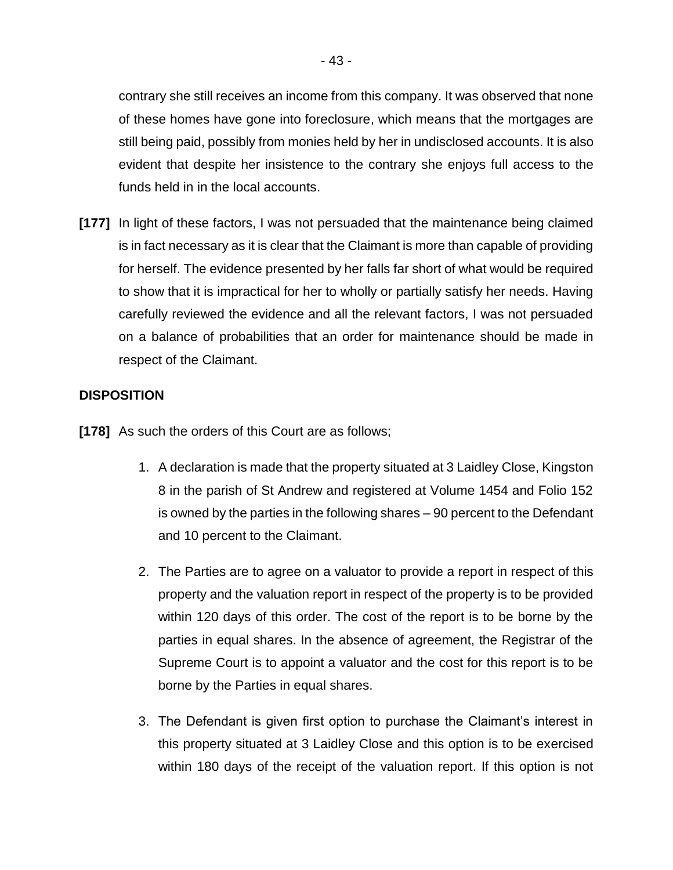contrary she still receives an income from this company. It was observed that none of these homes have gone into foreclosure, which means that the mortgages are still being paid, possibly from monies held by her in undisclosed accounts. It is also evident that despite her insistence to the contrary she enjoys full access to the funds held in in the local accounts.

**[177]** In light of these factors, I was not persuaded that the maintenance being claimed is in fact necessary as it is clear that the Claimant is more than capable of providing for herself. The evidence presented by her falls far short of what would be required to show that it is impractical for her to wholly or partially satisfy her needs. Having carefully reviewed the evidence and all the relevant factors, I was not persuaded on a balance of probabilities that an order for maintenance should be made in respect of the Claimant.

## **DISPOSITION**

**[178]** As such the orders of this Court are as follows;

- 1. A declaration is made that the property situated at 3 Laidley Close, Kingston 8 in the parish of St Andrew and registered at Volume 1454 and Folio 152 is owned by the parties in the following shares – 90 percent to the Defendant and 10 percent to the Claimant.
- 2. The Parties are to agree on a valuator to provide a report in respect of this property and the valuation report in respect of the property is to be provided within 120 days of this order. The cost of the report is to be borne by the parties in equal shares. In the absence of agreement, the Registrar of the Supreme Court is to appoint a valuator and the cost for this report is to be borne by the Parties in equal shares.
- 3. The Defendant is given first option to purchase the Claimant's interest in this property situated at 3 Laidley Close and this option is to be exercised within 180 days of the receipt of the valuation report. If this option is not